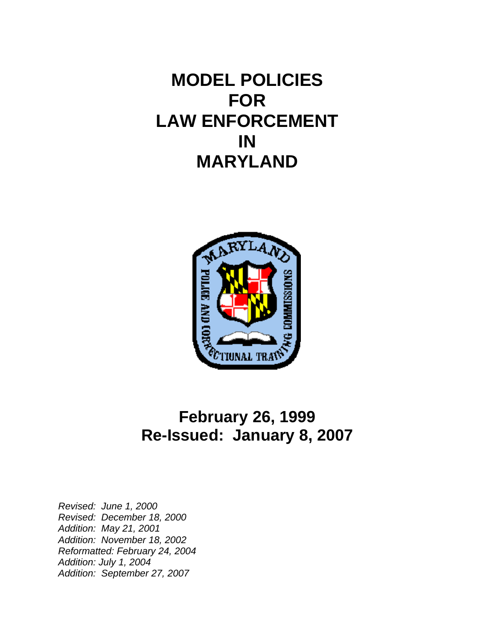### **MODEL POLICIES FOR LAW ENFORCEMENT IN MARYLAND**



### **February 26, 1999 Re-Issued: January 8, 2007**

*Revised: June 1, 2000 Revised: December 18, 2000 Addition: May 21, 2001 Addition: November 18, 2002 Reformatted: February 24, 2004 Addition: July 1, 2004 Addition: September 27, 2007*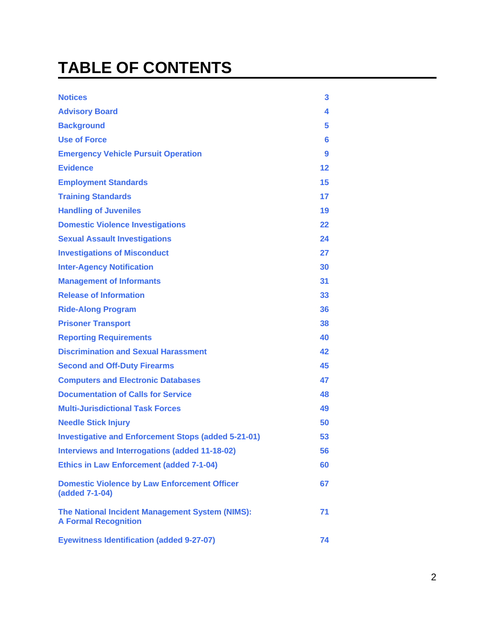## **TABLE OF CONTENTS**

| <b>Notices</b>                                                                 | 3  |
|--------------------------------------------------------------------------------|----|
| <b>Advisory Board</b>                                                          | 4  |
| <b>Background</b>                                                              | 5  |
| <b>Use of Force</b>                                                            | 6  |
|                                                                                | 9  |
| <b>Emergency Vehicle Pursuit Operation</b><br><b>Evidence</b>                  | 12 |
|                                                                                |    |
| <b>Employment Standards</b>                                                    | 15 |
| <b>Training Standards</b>                                                      | 17 |
| <b>Handling of Juveniles</b>                                                   | 19 |
| <b>Domestic Violence Investigations</b>                                        | 22 |
| <b>Sexual Assault Investigations</b>                                           | 24 |
| <b>Investigations of Misconduct</b>                                            | 27 |
| <b>Inter-Agency Notification</b>                                               | 30 |
| <b>Management of Informants</b>                                                | 31 |
| <b>Release of Information</b>                                                  | 33 |
| <b>Ride-Along Program</b>                                                      | 36 |
| <b>Prisoner Transport</b>                                                      | 38 |
| <b>Reporting Requirements</b>                                                  | 40 |
| <b>Discrimination and Sexual Harassment</b>                                    | 42 |
| <b>Second and Off-Duty Firearms</b>                                            | 45 |
| <b>Computers and Electronic Databases</b>                                      | 47 |
| <b>Documentation of Calls for Service</b>                                      | 48 |
| <b>Multi-Jurisdictional Task Forces</b>                                        | 49 |
| <b>Needle Stick Injury</b>                                                     | 50 |
| <b>Investigative and Enforcement Stops (added 5-21-01)</b>                     | 53 |
| Interviews and Interrogations (added 11-18-02)                                 | 56 |
| <b>Ethics in Law Enforcement (added 7-1-04)</b>                                | 60 |
| <b>Domestic Violence by Law Enforcement Officer</b><br>(added 7-1-04)          | 67 |
| The National Incident Management System (NIMS):<br><b>A Formal Recognition</b> | 71 |
| <b>Eyewitness Identification (added 9-27-07)</b>                               | 74 |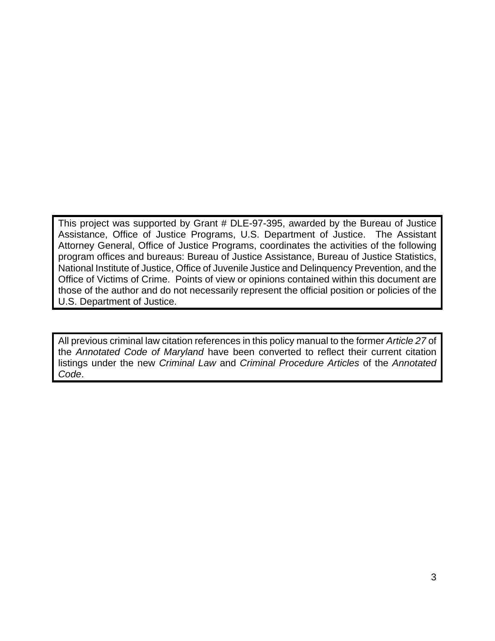<span id="page-2-0"></span>This project was supported by Grant # DLE-97-395, awarded by the Bureau of Justice Assistance, Office of Justice Programs, U.S. Department of Justice. The Assistant Attorney General, Office of Justice Programs, coordinates the activities of the following program offices and bureaus: Bureau of Justice Assistance, Bureau of Justice Statistics, National Institute of Justice, Office of Juvenile Justice and Delinquency Prevention, and the Office of Victims of Crime. Points of view or opinions contained within this document are those of the author and do not necessarily represent the official position or policies of the U.S. Department of Justice.

All previous criminal law citation references in this policy manual to the former *Article 27* of the *Annotated Code of Maryland* have been converted to reflect their current citation listings under the new *Criminal Law* and *Criminal Procedure Articles* of the *Annotated Code*.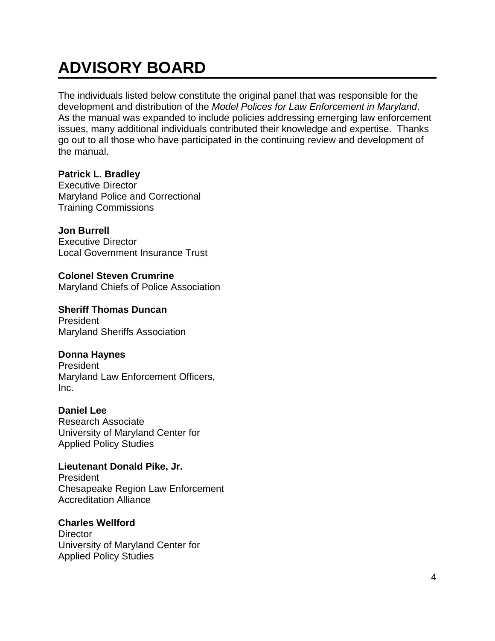### <span id="page-3-0"></span>**ADVISORY BOARD**

The individuals listed below constitute the original panel that was responsible for the development and distribution of the *Model Polices for Law Enforcement in Maryland*. As the manual was expanded to include policies addressing emerging law enforcement issues, many additional individuals contributed their knowledge and expertise. Thanks go out to all those who have participated in the continuing review and development of the manual.

#### **Patrick L. Bradley**

Executive Director Maryland Police and Correctional Training Commissions

#### **Jon Burrell**

Executive Director Local Government Insurance Trust

**Colonel Steven Crumrine**  Maryland Chiefs of Police Association

**Sheriff Thomas Duncan** President Maryland Sheriffs Association

#### **Donna Haynes**

President Maryland Law Enforcement Officers, Inc.

#### **Daniel Lee**

Research Associate University of Maryland Center for Applied Policy Studies

**Lieutenant Donald Pike, Jr.** President Chesapeake Region Law Enforcement Accreditation Alliance

#### **Charles Wellford**

**Director** University of Maryland Center for Applied Policy Studies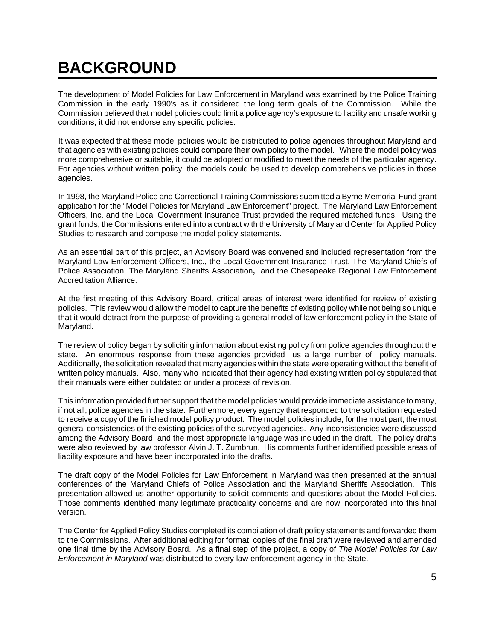### <span id="page-4-0"></span>**BACKGROUND**

The development of Model Policies for Law Enforcement in Maryland was examined by the Police Training Commission in the early 1990's as it considered the long term goals of the Commission. While the Commission believed that model policies could limit a police agency's exposure to liability and unsafe working conditions, it did not endorse any specific policies.

It was expected that these model policies would be distributed to police agencies throughout Maryland and that agencies with existing policies could compare their own policy to the model. Where the model policy was more comprehensive or suitable, it could be adopted or modified to meet the needs of the particular agency. For agencies without written policy, the models could be used to develop comprehensive policies in those agencies.

In 1998, the Maryland Police and Correctional Training Commissions submitted a Byrne Memorial Fund grant application for the "Model Policies for Maryland Law Enforcement" project. The Maryland Law Enforcement Officers, Inc. and the Local Government Insurance Trust provided the required matched funds. Using the grant funds, the Commissions entered into a contract with the University of Maryland Center for Applied Policy Studies to research and compose the model policy statements.

As an essential part of this project, an Advisory Board was convened and included representation from the Maryland Law Enforcement Officers, Inc., the Local Government Insurance Trust, The Maryland Chiefs of Police Association, The Maryland Sheriffs Association**,** and the Chesapeake Regional Law Enforcement Accreditation Alliance.

At the first meeting of this Advisory Board, critical areas of interest were identified for review of existing policies. This review would allow the model to capture the benefits of existing policy while not being so unique that it would detract from the purpose of providing a general model of law enforcement policy in the State of Maryland.

The review of policy began by soliciting information about existing policy from police agencies throughout the state. An enormous response from these agencies provided us a large number of policy manuals. Additionally, the solicitation revealed that many agencies within the state were operating without the benefit of written policy manuals. Also, many who indicated that their agency had existing written policy stipulated that their manuals were either outdated or under a process of revision.

This information provided further support that the model policies would provide immediate assistance to many, if not all, police agencies in the state. Furthermore, every agency that responded to the solicitation requested to receive a copy of the finished model policy product. The model policies include, for the most part, the most general consistencies of the existing policies of the surveyed agencies. Any inconsistencies were discussed among the Advisory Board, and the most appropriate language was included in the draft. The policy drafts were also reviewed by law professor Alvin J. T. Zumbrun. His comments further identified possible areas of liability exposure and have been incorporated into the drafts.

The draft copy of the Model Policies for Law Enforcement in Maryland was then presented at the annual conferences of the Maryland Chiefs of Police Association and the Maryland Sheriffs Association. This presentation allowed us another opportunity to solicit comments and questions about the Model Policies. Those comments identified many legitimate practicality concerns and are now incorporated into this final version.

The Center for Applied Policy Studies completed its compilation of draft policy statements and forwarded them to the Commissions. After additional editing for format, copies of the final draft were reviewed and amended one final time by the Advisory Board. As a final step of the project, a copy of *The Model Policies for Law Enforcement in Maryland* was distributed to every law enforcement agency in the State.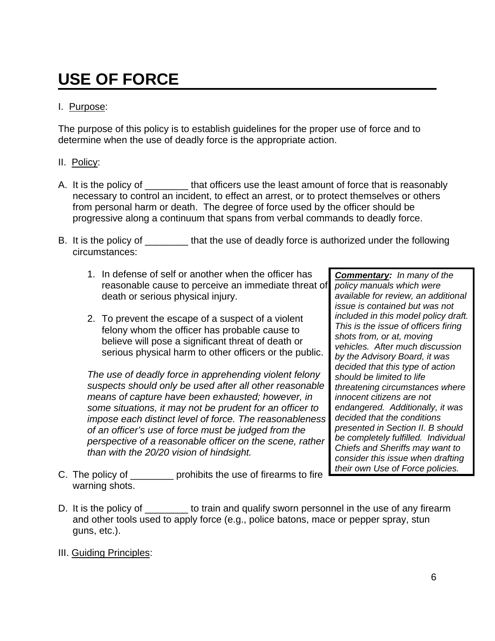# <span id="page-5-0"></span>**USE OF FORCE**

#### I. Purpose:

The purpose of this policy is to establish guidelines for the proper use of force and to determine when the use of deadly force is the appropriate action.

#### II. Policy:

- A. It is the policy of that officers use the least amount of force that is reasonably necessary to control an incident, to effect an arrest, or to protect themselves or others from personal harm or death. The degree of force used by the officer should be progressive along a continuum that spans from verbal commands to deadly force.
- B. It is the policy of that the use of deadly force is authorized under the following circumstances:
	- 1. In defense of self or another when the officer has reasonable cause to perceive an immediate threat of death or serious physical injury.
	- 2. To prevent the escape of a suspect of a violent felony whom the officer has probable cause to believe will pose a significant threat of death or serious physical harm to other officers or the public.

*The use of deadly force in apprehending violent felony suspects should only be used after all other reasonable means of capture have been exhausted; however, in some situations, it may not be prudent for an officer to impose each distinct level of force. The reasonableness of an officer's use of force must be judged from the perspective of a reasonable officer on the scene, rather than with the 20/20 vision of hindsight.* 

*This is the issue of officers firing shots from, or at, moving vehicles. After much discussion by the Advisory Board, it was decided that this type of action should be limited to life threatening circumstances where innocent citizens are not endangered. Additionally, it was decided that the conditions presented in Section II. B should be completely fulfilled. Individual Chiefs and Sheriffs may want to consider this issue when drafting their own Use of Force policies.* 

*Commentary: In many of the policy manuals which were* 

*available for review, an additional issue is contained but was not included in this model policy draft.* 

- C. The policy of \_\_\_\_\_\_\_\_ prohibits the use of firearms to fire warning shots.
- D. It is the policy of \_\_\_\_\_\_\_\_ to train and qualify sworn personnel in the use of any firearm and other tools used to apply force (e.g., police batons, mace or pepper spray, stun guns, etc.).
- III. Guiding Principles: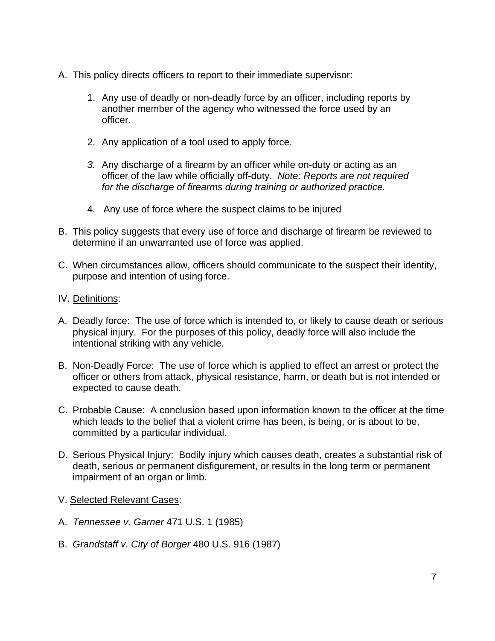- A. This policy directs officers to report to their immediate supervisor:
	- 1. Any use of deadly or non-deadly force by an officer, including reports by another member of the agency who witnessed the force used by an officer.
	- 2. Any application of a tool used to apply force.
	- *3.* Any discharge of a firearm by an officer while on-duty or acting as an officer of the law while officially off-duty. *Note: Reports are not required for the discharge of firearms during training or authorized practice.*
	- 4. Any use of force where the suspect claims to be injured
- B. This policy suggests that every use of force and discharge of firearm be reviewed to determine if an unwarranted use of force was applied.
- C. When circumstances allow, officers should communicate to the suspect their identity, purpose and intention of using force.
- IV. Definitions:
- A. Deadly force: The use of force which is intended to, or likely to cause death or serious physical injury. For the purposes of this policy, deadly force will also include the intentional striking with any vehicle.
- B. Non-Deadly Force: The use of force which is applied to effect an arrest or protect the officer or others from attack, physical resistance, harm, or death but is not intended or expected to cause death.
- C. Probable Cause: A conclusion based upon information known to the officer at the time which leads to the belief that a violent crime has been, is being, or is about to be, committed by a particular individual.
- D. Serious Physical Injury: Bodily injury which causes death, creates a substantial risk of death, serious or permanent disfigurement, or results in the long term or permanent impairment of an organ or limb.

#### V. Selected Relevant Cases:

- A. *Tennessee v. Garner* 471 U.S. 1 (1985)
- B. *Grandstaff v. City of Borger* 480 U.S. 916 (1987)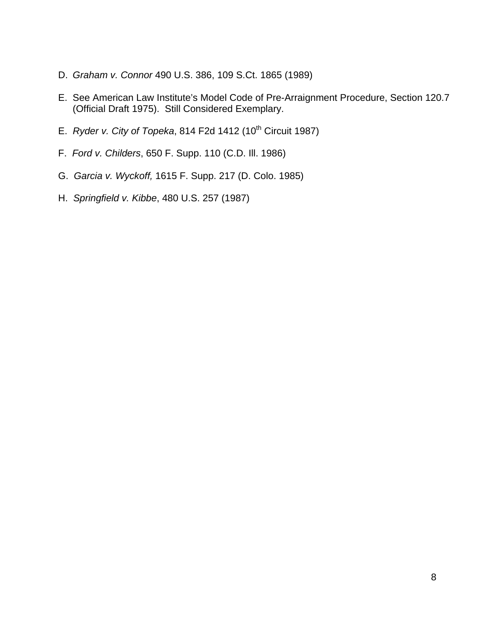- D. *Graham v. Connor* 490 U.S. 386, 109 S.Ct. 1865 (1989)
- E. See American Law Institute's Model Code of Pre-Arraignment Procedure, Section 120.7 (Official Draft 1975). Still Considered Exemplary.
- E. *Ryder v. City of Topeka*, 814 F2d 1412 (10<sup>th</sup> Circuit 1987)
- F. *Ford v. Childers*, 650 F. Supp. 110 (C.D. Ill. 1986)
- G. *Garcia v. Wyckoff,* 1615 F. Supp. 217 (D. Colo. 1985)
- H. *Springfield v. Kibbe*, 480 U.S. 257 (1987)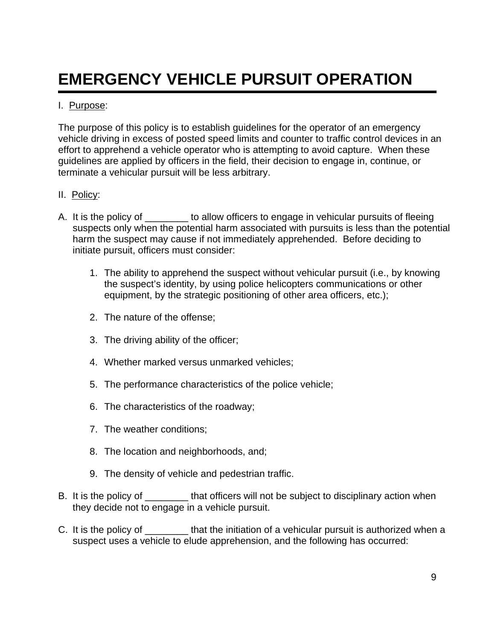# <span id="page-8-0"></span>**EMERGENCY VEHICLE PURSUIT OPERATION**

#### I. Purpose:

The purpose of this policy is to establish guidelines for the operator of an emergency vehicle driving in excess of posted speed limits and counter to traffic control devices in an effort to apprehend a vehicle operator who is attempting to avoid capture. When these guidelines are applied by officers in the field, their decision to engage in, continue, or terminate a vehicular pursuit will be less arbitrary.

- II. Policy:
- A. It is the policy of \_\_\_\_\_\_\_\_ to allow officers to engage in vehicular pursuits of fleeing suspects only when the potential harm associated with pursuits is less than the potential harm the suspect may cause if not immediately apprehended. Before deciding to initiate pursuit, officers must consider:
	- 1. The ability to apprehend the suspect without vehicular pursuit (i.e., by knowing the suspect's identity, by using police helicopters communications or other equipment, by the strategic positioning of other area officers, etc.);
	- 2. The nature of the offense;
	- 3. The driving ability of the officer;
	- 4. Whether marked versus unmarked vehicles;
	- 5. The performance characteristics of the police vehicle;
	- 6. The characteristics of the roadway;
	- 7. The weather conditions;
	- 8. The location and neighborhoods, and;
	- 9. The density of vehicle and pedestrian traffic.
- B. It is the policy of that officers will not be subject to disciplinary action when they decide not to engage in a vehicle pursuit.
- C. It is the policy of \_\_\_\_\_\_\_\_\_ that the initiation of a vehicular pursuit is authorized when a suspect uses a vehicle to elude apprehension, and the following has occurred: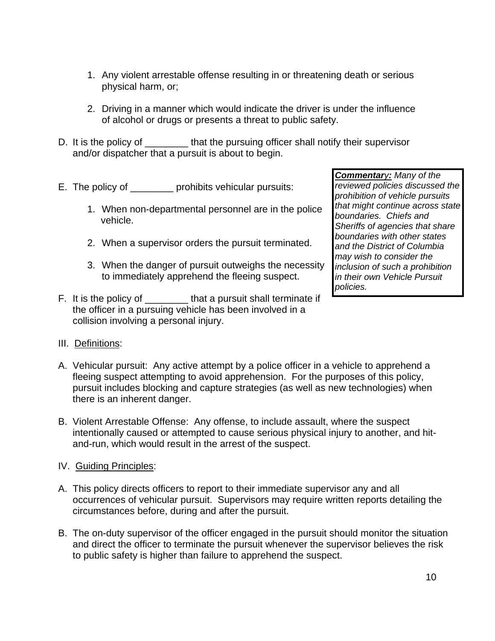- 1. Any violent arrestable offense resulting in or threatening death or serious physical harm, or;
- 2. Driving in a manner which would indicate the driver is under the influence of alcohol or drugs or presents a threat to public safety.
- D. It is the policy of \_\_\_\_\_\_\_\_ that the pursuing officer shall notify their supervisor and/or dispatcher that a pursuit is about to begin.
- E. The policy of \_\_\_\_\_\_\_\_ prohibits vehicular pursuits:
	- 1. When non-departmental personnel are in the police vehicle.
	- 2. When a supervisor orders the pursuit terminated.
	- 3. When the danger of pursuit outweighs the necessity to immediately apprehend the fleeing suspect.
- F. It is the policy of \_\_\_\_\_\_\_\_ that a pursuit shall terminate if the officer in a pursuing vehicle has been involved in a collision involving a personal injury.

*Commentary: Many of the reviewed policies discussed the prohibition of vehicle pursuits that might continue across state boundaries. Chiefs and Sheriffs of agencies that share boundaries with other states and the District of Columbia may wish to consider the inclusion of such a prohibition in their own Vehicle Pursuit policies.*

#### III. Definitions:

- A. Vehicular pursuit: Any active attempt by a police officer in a vehicle to apprehend a fleeing suspect attempting to avoid apprehension. For the purposes of this policy, pursuit includes blocking and capture strategies (as well as new technologies) when there is an inherent danger.
- B. Violent Arrestable Offense: Any offense, to include assault, where the suspect intentionally caused or attempted to cause serious physical injury to another, and hitand-run, which would result in the arrest of the suspect.
- IV. Guiding Principles:
- A. This policy directs officers to report to their immediate supervisor any and all occurrences of vehicular pursuit. Supervisors may require written reports detailing the circumstances before, during and after the pursuit.
- B. The on-duty supervisor of the officer engaged in the pursuit should monitor the situation and direct the officer to terminate the pursuit whenever the supervisor believes the risk to public safety is higher than failure to apprehend the suspect.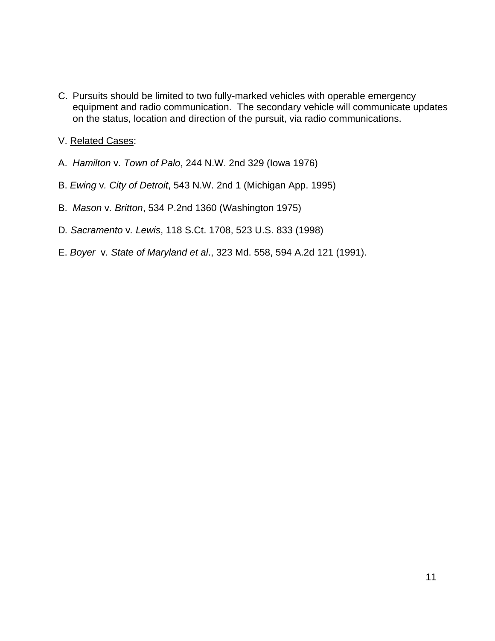- C. Pursuits should be limited to two fully-marked vehicles with operable emergency equipment and radio communication. The secondary vehicle will communicate updates on the status, location and direction of the pursuit, via radio communications.
- V. Related Cases:
- A. *Hamilton* v*. Town of Palo*, 244 N.W. 2nd 329 (Iowa 1976)
- B. *Ewing* v*. City of Detroit*, 543 N.W. 2nd 1 (Michigan App. 1995)
- B. *Mason* v*. Britton*, 534 P.2nd 1360 (Washington 1975)
- D*. Sacramento* v*. Lewis*, 118 S.Ct. 1708, 523 U.S. 833 (1998)
- E. *Boyer* v*. State of Maryland et al*., 323 Md. 558, 594 A.2d 121 (1991).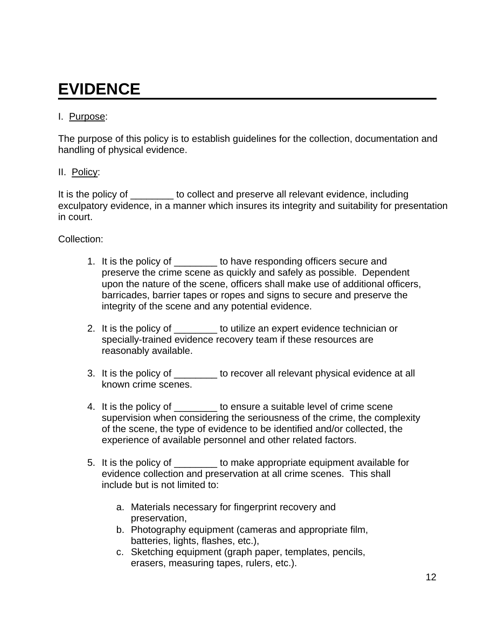### <span id="page-11-0"></span>**EVIDENCE**

#### I. Purpose:

The purpose of this policy is to establish guidelines for the collection, documentation and handling of physical evidence.

#### II. Policy:

It is the policy of to collect and preserve all relevant evidence, including exculpatory evidence, in a manner which insures its integrity and suitability for presentation in court.

#### Collection:

- 1. It is the policy of \_\_\_\_\_\_\_\_ to have responding officers secure and preserve the crime scene as quickly and safely as possible. Dependent upon the nature of the scene, officers shall make use of additional officers, barricades, barrier tapes or ropes and signs to secure and preserve the integrity of the scene and any potential evidence.
- 2. It is the policy of \_\_\_\_\_\_\_\_ to utilize an expert evidence technician or specially-trained evidence recovery team if these resources are reasonably available.
- 3. It is the policy of \_\_\_\_\_\_\_\_ to recover all relevant physical evidence at all known crime scenes.
- 4. It is the policy of \_\_\_\_\_\_\_\_ to ensure a suitable level of crime scene supervision when considering the seriousness of the crime, the complexity of the scene, the type of evidence to be identified and/or collected, the experience of available personnel and other related factors.
- 5. It is the policy of \_\_\_\_\_\_\_\_ to make appropriate equipment available for evidence collection and preservation at all crime scenes. This shall include but is not limited to:
	- a. Materials necessary for fingerprint recovery and preservation,
	- b. Photography equipment (cameras and appropriate film, batteries, lights, flashes, etc.),
	- c. Sketching equipment (graph paper, templates, pencils, erasers, measuring tapes, rulers, etc.).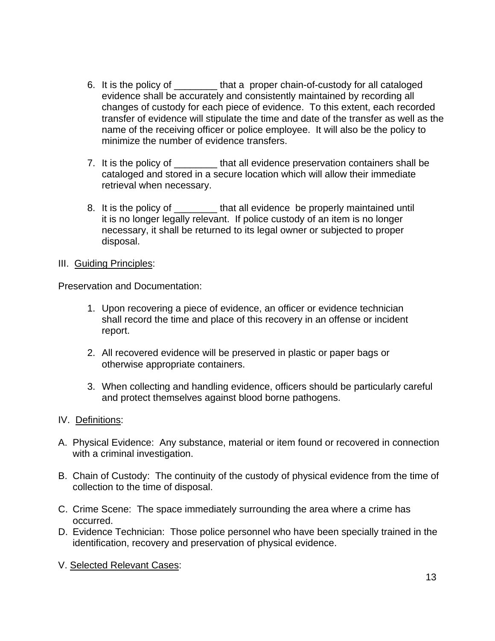- 6. It is the policy of \_\_\_\_\_\_\_\_ that a proper chain-of-custody for all cataloged evidence shall be accurately and consistently maintained by recording all changes of custody for each piece of evidence. To this extent, each recorded transfer of evidence will stipulate the time and date of the transfer as well as the name of the receiving officer or police employee. It will also be the policy to minimize the number of evidence transfers.
- 7. It is the policy of **ware integral that all evidence preservation containers shall be** cataloged and stored in a secure location which will allow their immediate retrieval when necessary.
- 8. It is the policy of \_\_\_\_\_\_\_\_ that all evidence be properly maintained until it is no longer legally relevant. If police custody of an item is no longer necessary, it shall be returned to its legal owner or subjected to proper disposal.

#### III. Guiding Principles:

Preservation and Documentation:

- 1. Upon recovering a piece of evidence, an officer or evidence technician shall record the time and place of this recovery in an offense or incident report.
- 2. All recovered evidence will be preserved in plastic or paper bags or otherwise appropriate containers.
- 3. When collecting and handling evidence, officers should be particularly careful and protect themselves against blood borne pathogens.
- IV. Definitions:
- A. Physical Evidence: Any substance, material or item found or recovered in connection with a criminal investigation.
- B. Chain of Custody: The continuity of the custody of physical evidence from the time of collection to the time of disposal.
- C. Crime Scene: The space immediately surrounding the area where a crime has occurred.
- D. Evidence Technician: Those police personnel who have been specially trained in the identification, recovery and preservation of physical evidence.

V. Selected Relevant Cases: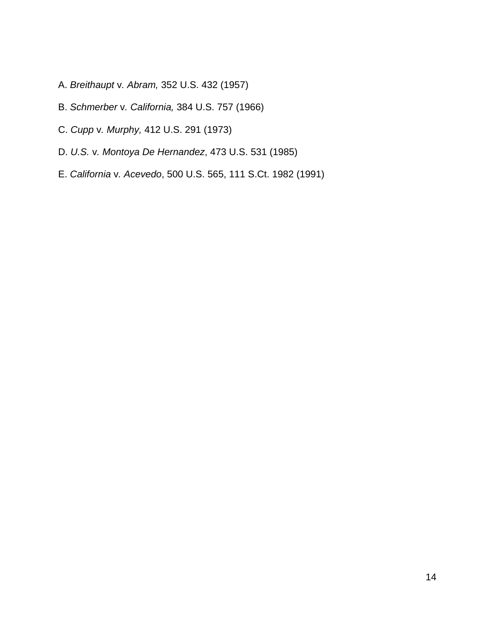- A. *Breithaupt* v*. Abram,* 352 U.S. 432 (1957)
- B. *Schmerber* v*. California,* 384 U.S. 757 (1966)
- C. *Cupp* v*. Murphy,* 412 U.S. 291 (1973)
- D. *U.S.* v*. Montoya De Hernandez*, 473 U.S. 531 (1985)
- E. *California* v*. Acevedo*, 500 U.S. 565, 111 S.Ct. 1982 (1991)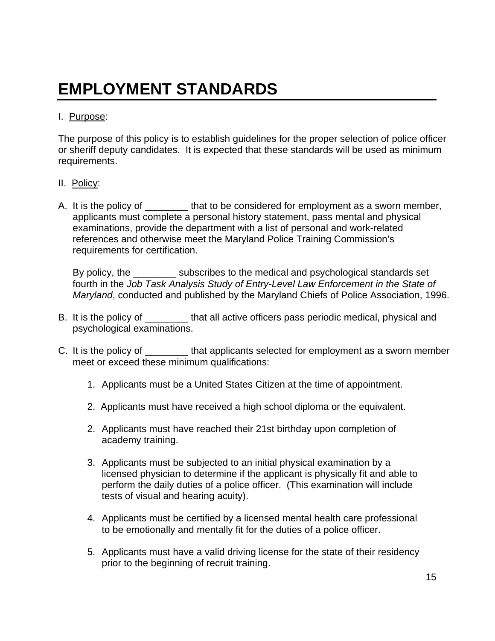### <span id="page-14-0"></span>**EMPLOYMENT STANDARDS**

#### I. Purpose:

The purpose of this policy is to establish guidelines for the proper selection of police officer or sheriff deputy candidates. It is expected that these standards will be used as minimum requirements.

#### II. Policy:

A. It is the policy of that to be considered for employment as a sworn member, applicants must complete a personal history statement, pass mental and physical examinations, provide the department with a list of personal and work-related references and otherwise meet the Maryland Police Training Commission's requirements for certification.

By policy, the \_\_\_\_\_\_\_\_ subscribes to the medical and psychological standards set fourth in the *Job Task Analysis Study of Entry-Level Law Enforcement in the State of Maryland*, conducted and published by the Maryland Chiefs of Police Association, 1996.

- B. It is the policy of that all active officers pass periodic medical, physical and psychological examinations.
- C. It is the policy of \_\_\_\_\_\_\_\_ that applicants selected for employment as a sworn member meet or exceed these minimum qualifications:
	- 1. Applicants must be a United States Citizen at the time of appointment.
	- 2. Applicants must have received a high school diploma or the equivalent.
	- 2. Applicants must have reached their 21st birthday upon completion of academy training.
	- 3. Applicants must be subjected to an initial physical examination by a licensed physician to determine if the applicant is physically fit and able to perform the daily duties of a police officer. (This examination will include tests of visual and hearing acuity).
	- 4. Applicants must be certified by a licensed mental health care professional to be emotionally and mentally fit for the duties of a police officer.
	- 5. Applicants must have a valid driving license for the state of their residency prior to the beginning of recruit training.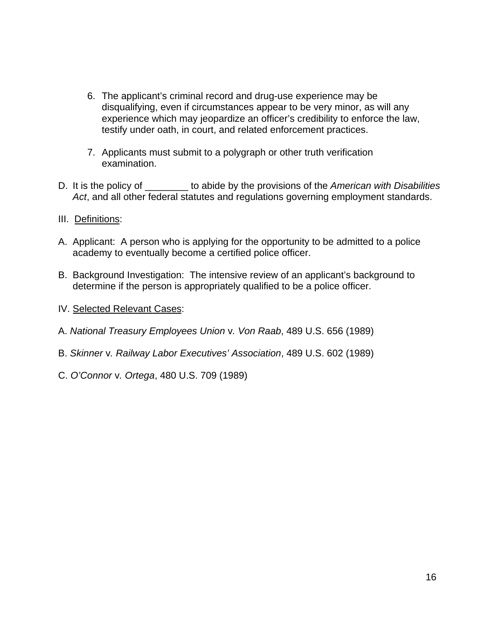- 6. The applicant's criminal record and drug-use experience may be disqualifying, even if circumstances appear to be very minor, as will any experience which may jeopardize an officer's credibility to enforce the law, testify under oath, in court, and related enforcement practices.
- 7. Applicants must submit to a polygraph or other truth verification examination.
- D. It is the policy of \_\_\_\_\_\_\_\_ to abide by the provisions of the *American with Disabilities Act*, and all other federal statutes and regulations governing employment standards.
- III. Definitions:
- A. Applicant: A person who is applying for the opportunity to be admitted to a police academy to eventually become a certified police officer.
- B. Background Investigation: The intensive review of an applicant's background to determine if the person is appropriately qualified to be a police officer.
- IV. Selected Relevant Cases:
- A. *National Treasury Employees Union* v*. Von Raab*, 489 U.S. 656 (1989)
- B. *Skinner* v*. Railway Labor Executives' Association*, 489 U.S. 602 (1989)
- C. *O'Connor* v*. Ortega*, 480 U.S. 709 (1989)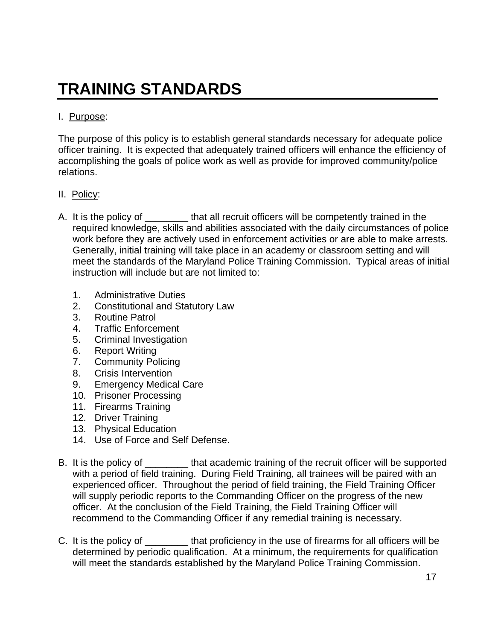### <span id="page-16-0"></span>**TRAINING STANDARDS**

#### I. Purpose:

The purpose of this policy is to establish general standards necessary for adequate police officer training. It is expected that adequately trained officers will enhance the efficiency of accomplishing the goals of police work as well as provide for improved community/police relations.

- A. It is the policy of \_\_\_\_\_\_\_\_ that all recruit officers will be competently trained in the required knowledge, skills and abilities associated with the daily circumstances of police work before they are actively used in enforcement activities or are able to make arrests. Generally, initial training will take place in an academy or classroom setting and will meet the standards of the Maryland Police Training Commission. Typical areas of initial instruction will include but are not limited to:
	- 1. Administrative Duties
	- 2. Constitutional and Statutory Law
	- 3. Routine Patrol
	- 4. Traffic Enforcement
	- 5. Criminal Investigation
	- 6. Report Writing
	- 7. Community Policing
	- 8. Crisis Intervention
	- 9. Emergency Medical Care
	- 10. Prisoner Processing
	- 11. Firearms Training
	- 12. Driver Training
	- 13. Physical Education
	- 14. Use of Force and Self Defense.
- B. It is the policy of <u>equal that academic training</u> of the recruit officer will be supported with a period of field training. During Field Training, all trainees will be paired with an experienced officer. Throughout the period of field training, the Field Training Officer will supply periodic reports to the Commanding Officer on the progress of the new officer. At the conclusion of the Field Training, the Field Training Officer will recommend to the Commanding Officer if any remedial training is necessary.
- C. It is the policy of that proficiency in the use of firearms for all officers will be determined by periodic qualification. At a minimum, the requirements for qualification will meet the standards established by the Maryland Police Training Commission.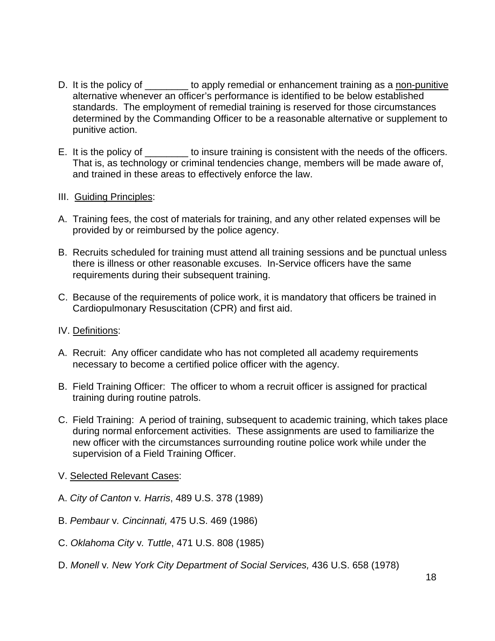- D. It is the policy of <u>equal to apply remedial or enhancement training</u> as a non-punitive alternative whenever an officer's performance is identified to be below established standards. The employment of remedial training is reserved for those circumstances determined by the Commanding Officer to be a reasonable alternative or supplement to punitive action.
- E. It is the policy of the insure training is consistent with the needs of the officers. That is, as technology or criminal tendencies change, members will be made aware of, and trained in these areas to effectively enforce the law.

#### III. Guiding Principles:

- A. Training fees, the cost of materials for training, and any other related expenses will be provided by or reimbursed by the police agency.
- B. Recruits scheduled for training must attend all training sessions and be punctual unless there is illness or other reasonable excuses. In-Service officers have the same requirements during their subsequent training.
- C. Because of the requirements of police work, it is mandatory that officers be trained in Cardiopulmonary Resuscitation (CPR) and first aid.
- IV. Definitions:
- A. Recruit: Any officer candidate who has not completed all academy requirements necessary to become a certified police officer with the agency.
- B. Field Training Officer: The officer to whom a recruit officer is assigned for practical training during routine patrols.
- C. Field Training: A period of training, subsequent to academic training, which takes place during normal enforcement activities. These assignments are used to familiarize the new officer with the circumstances surrounding routine police work while under the supervision of a Field Training Officer.
- V. Selected Relevant Cases:
- A. *City of Canton* v*. Harris*, 489 U.S. 378 (1989)
- B. *Pembaur* v*. Cincinnati,* 475 U.S. 469 (1986)
- C. *Oklahoma City* v*. Tuttle*, 471 U.S. 808 (1985)
- D. *Monell* v*. New York City Department of Social Services,* 436 U.S. 658 (1978)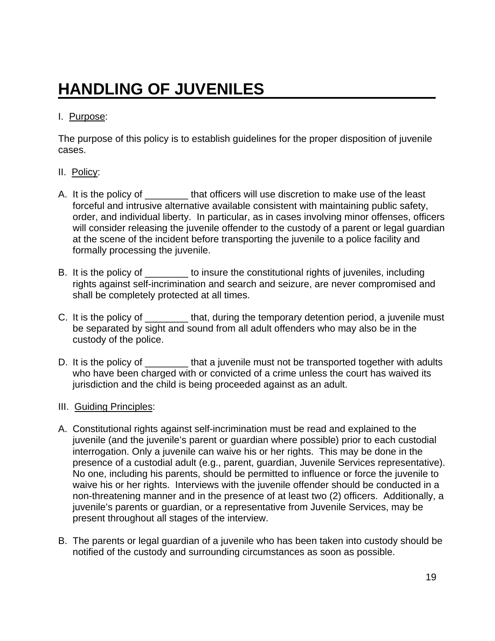## <span id="page-18-0"></span>**HANDLING OF JUVENILES**

#### I. Purpose:

The purpose of this policy is to establish guidelines for the proper disposition of juvenile cases.

- A. It is the policy of that officers will use discretion to make use of the least forceful and intrusive alternative available consistent with maintaining public safety, order, and individual liberty. In particular, as in cases involving minor offenses, officers will consider releasing the juvenile offender to the custody of a parent or legal guardian at the scene of the incident before transporting the juvenile to a police facility and formally processing the juvenile.
- B. It is the policy of \_\_\_\_\_\_\_\_ to insure the constitutional rights of juveniles, including rights against self-incrimination and search and seizure, are never compromised and shall be completely protected at all times.
- C. It is the policy of that, during the temporary detention period, a juvenile must be separated by sight and sound from all adult offenders who may also be in the custody of the police.
- D. It is the policy of \_\_\_\_\_\_\_\_ that a juvenile must not be transported together with adults who have been charged with or convicted of a crime unless the court has waived its jurisdiction and the child is being proceeded against as an adult.
- III. Guiding Principles:
- A. Constitutional rights against self-incrimination must be read and explained to the juvenile (and the juvenile's parent or guardian where possible) prior to each custodial interrogation. Only a juvenile can waive his or her rights. This may be done in the presence of a custodial adult (e.g., parent, guardian, Juvenile Services representative). No one, including his parents, should be permitted to influence or force the juvenile to waive his or her rights. Interviews with the juvenile offender should be conducted in a non-threatening manner and in the presence of at least two (2) officers. Additionally, a juvenile's parents or guardian, or a representative from Juvenile Services, may be present throughout all stages of the interview.
- B. The parents or legal guardian of a juvenile who has been taken into custody should be notified of the custody and surrounding circumstances as soon as possible.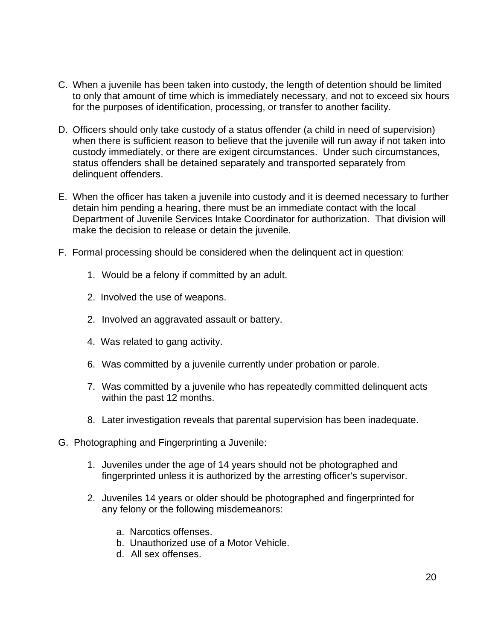- C. When a juvenile has been taken into custody, the length of detention should be limited to only that amount of time which is immediately necessary, and not to exceed six hours for the purposes of identification, processing, or transfer to another facility.
- D. Officers should only take custody of a status offender (a child in need of supervision) when there is sufficient reason to believe that the juvenile will run away if not taken into custody immediately, or there are exigent circumstances. Under such circumstances, status offenders shall be detained separately and transported separately from delinquent offenders.
- E. When the officer has taken a juvenile into custody and it is deemed necessary to further detain him pending a hearing, there must be an immediate contact with the local Department of Juvenile Services Intake Coordinator for authorization. That division will make the decision to release or detain the juvenile.
- F. Formal processing should be considered when the delinquent act in question:
	- 1. Would be a felony if committed by an adult.
	- 2. Involved the use of weapons.
	- 2. Involved an aggravated assault or battery.
	- 4. Was related to gang activity.
	- 6. Was committed by a juvenile currently under probation or parole.
	- 7. Was committed by a juvenile who has repeatedly committed delinquent acts within the past 12 months.
	- 8. Later investigation reveals that parental supervision has been inadequate.
- G. Photographing and Fingerprinting a Juvenile:
	- 1. Juveniles under the age of 14 years should not be photographed and fingerprinted unless it is authorized by the arresting officer's supervisor.
	- 2. Juveniles 14 years or older should be photographed and fingerprinted for any felony or the following misdemeanors:
		- a. Narcotics offenses.
		- b. Unauthorized use of a Motor Vehicle.
		- d. All sex offenses.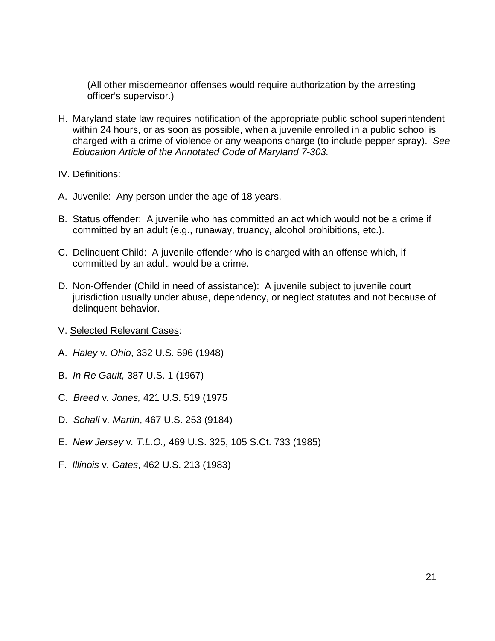(All other misdemeanor offenses would require authorization by the arresting officer's supervisor.)

- H. Maryland state law requires notification of the appropriate public school superintendent within 24 hours, or as soon as possible, when a juvenile enrolled in a public school is charged with a crime of violence or any weapons charge (to include pepper spray). *See Education Article of the Annotated Code of Maryland 7-303.*
- IV. Definitions:
- A. Juvenile: Any person under the age of 18 years.
- B. Status offender: A juvenile who has committed an act which would not be a crime if committed by an adult (e.g., runaway, truancy, alcohol prohibitions, etc.).
- C. Delinquent Child: A juvenile offender who is charged with an offense which, if committed by an adult, would be a crime.
- D. Non-Offender (Child in need of assistance): A juvenile subject to juvenile court jurisdiction usually under abuse, dependency, or neglect statutes and not because of delinquent behavior.
- V. Selected Relevant Cases:
- A. *Haley* v*. Ohio*, 332 U.S. 596 (1948)
- B. *In Re Gault,* 387 U.S. 1 (1967)
- C. *Breed* v*. Jones,* 421 U.S. 519 (1975
- D. *Schall* v*. Martin*, 467 U.S. 253 (9184)
- E. *New Jersey* v*. T.L.O.,* 469 U.S. 325, 105 S.Ct. 733 (1985)
- F. *Illinois* v*. Gates*, 462 U.S. 213 (1983)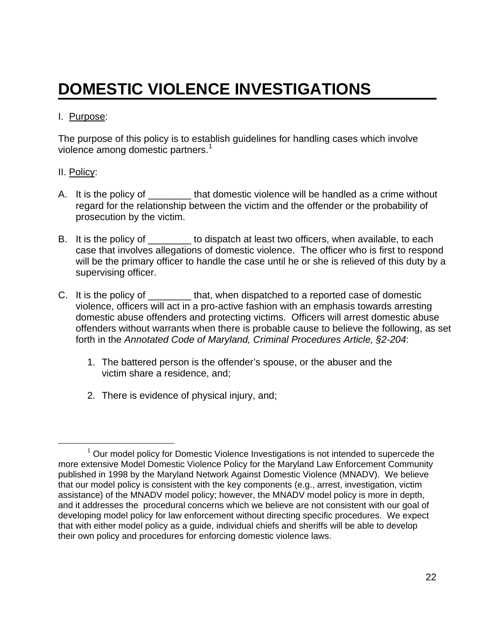### <span id="page-21-0"></span>**DOMESTIC VIOLENCE INVESTIGATIONS**

#### I. Purpose:

The purpose of this policy is to establish guidelines for handling cases which involve violence among domestic partners.<sup>1</sup>

- A. It is the policy of \_\_\_\_\_\_\_\_\_ that domestic violence will be handled as a crime without regard for the relationship between the victim and the offender or the probability of prosecution by the victim.
- B. It is the policy of \_\_\_\_\_\_\_\_ to dispatch at least two officers, when available, to each case that involves allegations of domestic violence. The officer who is first to respond will be the primary officer to handle the case until he or she is relieved of this duty by a supervising officer.
- C. It is the policy of \_\_\_\_\_\_\_\_ that, when dispatched to a reported case of domestic violence, officers will act in a pro-active fashion with an emphasis towards arresting domestic abuse offenders and protecting victims. Officers will arrest domestic abuse offenders without warrants when there is probable cause to believe the following, as set forth in the *Annotated Code of Maryland, Criminal Procedures Article, §2-204*:
	- 1. The battered person is the offender's spouse, or the abuser and the victim share a residence, and;
	- 2. There is evidence of physical injury, and;

 $1$  Our model policy for Domestic Violence Investigations is not intended to supercede the more extensive Model Domestic Violence Policy for the Maryland Law Enforcement Community published in 1998 by the Maryland Network Against Domestic Violence (MNADV). We believe that our model policy is consistent with the key components (e.g., arrest, investigation, victim assistance) of the MNADV model policy; however, the MNADV model policy is more in depth, and it addresses the procedural concerns which we believe are not consistent with our goal of developing model policy for law enforcement without directing specific procedures. We expect that with either model policy as a guide, individual chiefs and sheriffs will be able to develop their own policy and procedures for enforcing domestic violence laws.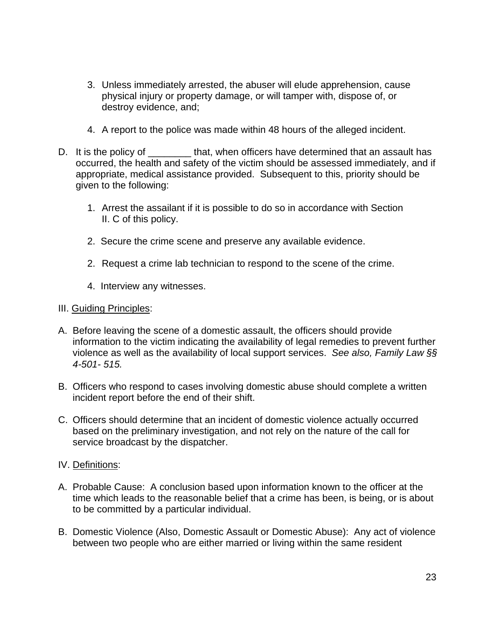- 3. Unless immediately arrested, the abuser will elude apprehension, cause physical injury or property damage, or will tamper with, dispose of, or destroy evidence, and;
- 4. A report to the police was made within 48 hours of the alleged incident.
- D. It is the policy of that, when officers have determined that an assault has occurred, the health and safety of the victim should be assessed immediately, and if appropriate, medical assistance provided. Subsequent to this, priority should be given to the following:
	- 1. Arrest the assailant if it is possible to do so in accordance with Section II. C of this policy.
	- 2. Secure the crime scene and preserve any available evidence.
	- 2. Request a crime lab technician to respond to the scene of the crime.
	- 4. Interview any witnesses.

#### III. Guiding Principles:

- A. Before leaving the scene of a domestic assault, the officers should provide information to the victim indicating the availability of legal remedies to prevent further violence as well as the availability of local support services. *See also, Family Law §§ 4-501- 515.*
- B. Officers who respond to cases involving domestic abuse should complete a written incident report before the end of their shift.
- C. Officers should determine that an incident of domestic violence actually occurred based on the preliminary investigation, and not rely on the nature of the call for service broadcast by the dispatcher.

#### IV. Definitions:

- A. Probable Cause: A conclusion based upon information known to the officer at the time which leads to the reasonable belief that a crime has been, is being, or is about to be committed by a particular individual.
- B. Domestic Violence (Also, Domestic Assault or Domestic Abuse): Any act of violence between two people who are either married or living within the same resident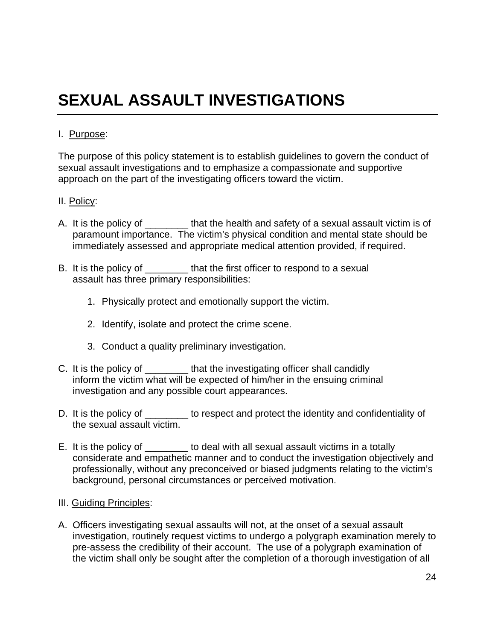### <span id="page-23-0"></span>**SEXUAL ASSAULT INVESTIGATIONS**

#### I. Purpose:

The purpose of this policy statement is to establish guidelines to govern the conduct of sexual assault investigations and to emphasize a compassionate and supportive approach on the part of the investigating officers toward the victim.

#### II. Policy:

- A. It is the policy of that the health and safety of a sexual assault victim is of paramount importance. The victim's physical condition and mental state should be immediately assessed and appropriate medical attention provided, if required.
- B. It is the policy of that the first officer to respond to a sexual assault has three primary responsibilities:
	- 1. Physically protect and emotionally support the victim.
	- 2. Identify, isolate and protect the crime scene.
	- 3. Conduct a quality preliminary investigation.
- C. It is the policy of that the investigating officer shall candidly inform the victim what will be expected of him/her in the ensuing criminal investigation and any possible court appearances.
- D. It is the policy of <u>second</u> to respect and protect the identity and confidentiality of the sexual assault victim.
- E. It is the policy of \_\_\_\_\_\_\_\_ to deal with all sexual assault victims in a totally considerate and empathetic manner and to conduct the investigation objectively and professionally, without any preconceived or biased judgments relating to the victim's background, personal circumstances or perceived motivation.

#### III. Guiding Principles:

A. Officers investigating sexual assaults will not, at the onset of a sexual assault investigation, routinely request victims to undergo a polygraph examination merely to pre-assess the credibility of their account. The use of a polygraph examination of the victim shall only be sought after the completion of a thorough investigation of all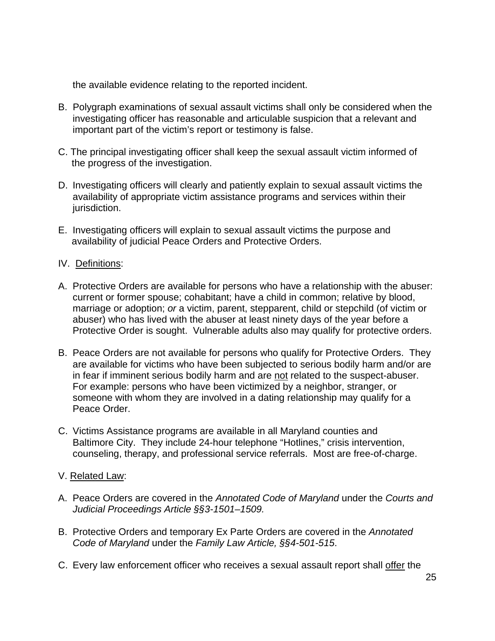the available evidence relating to the reported incident.

- B. Polygraph examinations of sexual assault victims shall only be considered when the investigating officer has reasonable and articulable suspicion that a relevant and important part of the victim's report or testimony is false.
- C. The principal investigating officer shall keep the sexual assault victim informed of the progress of the investigation.
- D. Investigating officers will clearly and patiently explain to sexual assault victims the availability of appropriate victim assistance programs and services within their jurisdiction.
- E. Investigating officers will explain to sexual assault victims the purpose and availability of judicial Peace Orders and Protective Orders.

#### IV. Definitions:

- A. Protective Orders are available for persons who have a relationship with the abuser: current or former spouse; cohabitant; have a child in common; relative by blood, marriage or adoption; *or* a victim, parent, stepparent, child or stepchild (of victim or abuser) who has lived with the abuser at least ninety days of the year before a Protective Order is sought. Vulnerable adults also may qualify for protective orders.
- B. Peace Orders are not available for persons who qualify for Protective Orders. They are available for victims who have been subjected to serious bodily harm and/or are in fear if imminent serious bodily harm and are not related to the suspect-abuser. For example: persons who have been victimized by a neighbor, stranger, or someone with whom they are involved in a dating relationship may qualify for a Peace Order.
- C. Victims Assistance programs are available in all Maryland counties and Baltimore City. They include 24-hour telephone "Hotlines," crisis intervention, counseling, therapy, and professional service referrals. Most are free-of-charge.

#### V. Related Law:

- A. Peace Orders are covered in the *Annotated Code of Maryland* under the *Courts and Judicial Proceedings Article §§3-1501–1509.*
- B. Protective Orders and temporary Ex Parte Orders are covered in the *Annotated Code of Maryland* under the *Family Law Article, §§4-501-515*.
- C. Every law enforcement officer who receives a sexual assault report shall offer the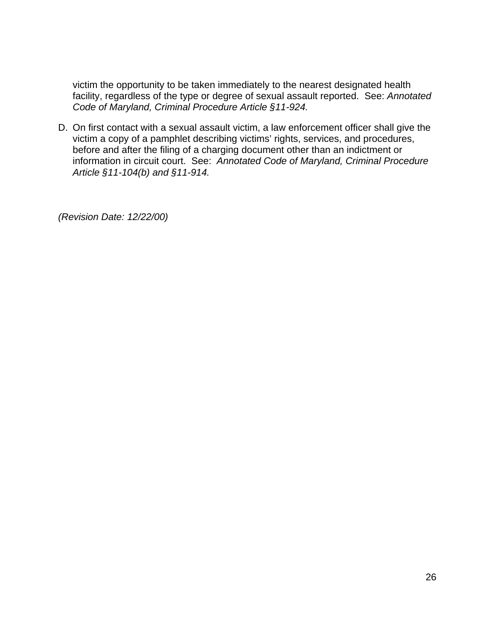victim the opportunity to be taken immediately to the nearest designated health facility, regardless of the type or degree of sexual assault reported. See: *Annotated Code of Maryland, Criminal Procedure Article §11-924.* 

D. On first contact with a sexual assault victim, a law enforcement officer shall give the victim a copy of a pamphlet describing victims' rights, services, and procedures, before and after the filing of a charging document other than an indictment or information in circuit court. See: *Annotated Code of Maryland, Criminal Procedure Article §11-104(b) and §11-914.* 

*(Revision Date: 12/22/00)*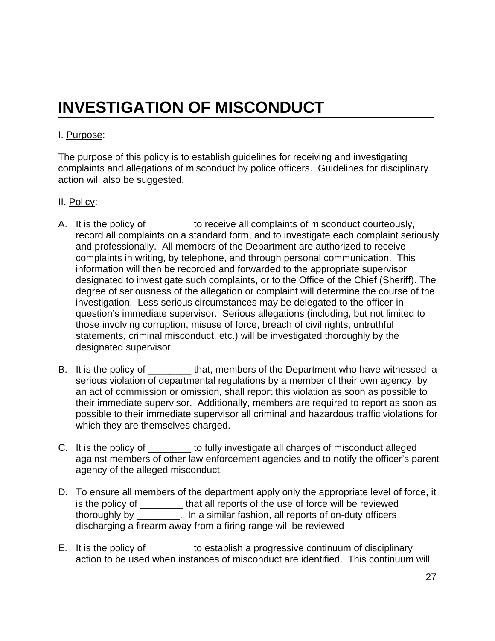### <span id="page-26-0"></span>**INVESTIGATION OF MISCONDUCT**

#### I. Purpose:

The purpose of this policy is to establish guidelines for receiving and investigating complaints and allegations of misconduct by police officers. Guidelines for disciplinary action will also be suggested.

- A. It is the policy of \_\_\_\_\_\_\_\_ to receive all complaints of misconduct courteously, record all complaints on a standard form, and to investigate each complaint seriously and professionally. All members of the Department are authorized to receive complaints in writing, by telephone, and through personal communication. This information will then be recorded and forwarded to the appropriate supervisor designated to investigate such complaints, or to the Office of the Chief (Sheriff). The degree of seriousness of the allegation or complaint will determine the course of the investigation. Less serious circumstances may be delegated to the officer-inquestion's immediate supervisor. Serious allegations (including, but not limited to those involving corruption, misuse of force, breach of civil rights, untruthful statements, criminal misconduct, etc.) will be investigated thoroughly by the designated supervisor.
- B. It is the policy of \_\_\_\_\_\_\_\_\_ that, members of the Department who have witnessed a serious violation of departmental regulations by a member of their own agency, by an act of commission or omission, shall report this violation as soon as possible to their immediate supervisor. Additionally, members are required to report as soon as possible to their immediate supervisor all criminal and hazardous traffic violations for which they are themselves charged.
- C. It is the policy of \_\_\_\_\_\_\_\_ to fully investigate all charges of misconduct alleged against members of other law enforcement agencies and to notify the officer's parent agency of the alleged misconduct.
- D. To ensure all members of the department apply only the appropriate level of force, it is the policy of \_\_\_\_\_\_\_\_\_ that all reports of the use of force will be reviewed thoroughly by \_\_\_\_\_\_\_\_. In a similar fashion, all reports of on-duty officers discharging a firearm away from a firing range will be reviewed
- E. It is the policy of \_\_\_\_\_\_\_\_ to establish a progressive continuum of disciplinary action to be used when instances of misconduct are identified. This continuum will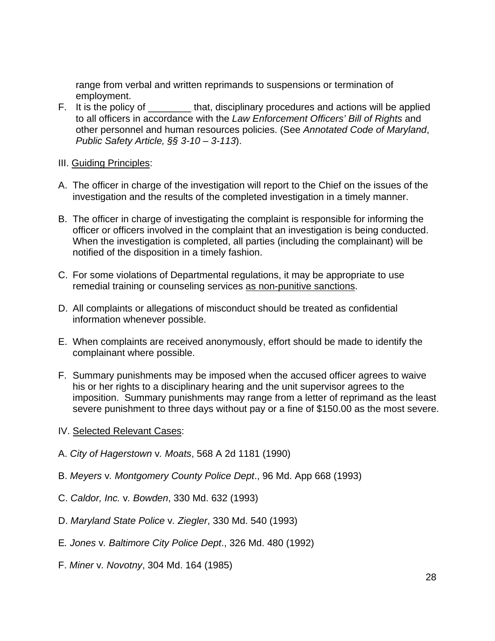range from verbal and written reprimands to suspensions or termination of employment.

- F. It is the policy of that, disciplinary procedures and actions will be applied to all officers in accordance with the *Law Enforcement Officers' Bill of Rights* and other personnel and human resources policies. (See *Annotated Code of Maryland*, *Public Safety Article, §§ 3-10 – 3-113*).
- III. Guiding Principles:
- A. The officer in charge of the investigation will report to the Chief on the issues of the investigation and the results of the completed investigation in a timely manner.
- B. The officer in charge of investigating the complaint is responsible for informing the officer or officers involved in the complaint that an investigation is being conducted. When the investigation is completed, all parties (including the complainant) will be notified of the disposition in a timely fashion.
- C. For some violations of Departmental regulations, it may be appropriate to use remedial training or counseling services as non-punitive sanctions.
- D. All complaints or allegations of misconduct should be treated as confidential information whenever possible.
- E. When complaints are received anonymously, effort should be made to identify the complainant where possible.
- F. Summary punishments may be imposed when the accused officer agrees to waive his or her rights to a disciplinary hearing and the unit supervisor agrees to the imposition. Summary punishments may range from a letter of reprimand as the least severe punishment to three days without pay or a fine of \$150.00 as the most severe.
- IV. Selected Relevant Cases:
- A. *City of Hagerstown* v*. Moats*, 568 A 2d 1181 (1990)
- B. *Meyers* v*. Montgomery County Police Dept*., 96 Md. App 668 (1993)
- C. *Caldor, Inc.* v*. Bowden*, 330 Md. 632 (1993)
- D. *Maryland State Police* v*. Ziegler*, 330 Md. 540 (1993)
- E*. Jones* v*. Baltimore City Police Dept*., 326 Md. 480 (1992)
- F. *Miner* v*. Novotny*, 304 Md. 164 (1985)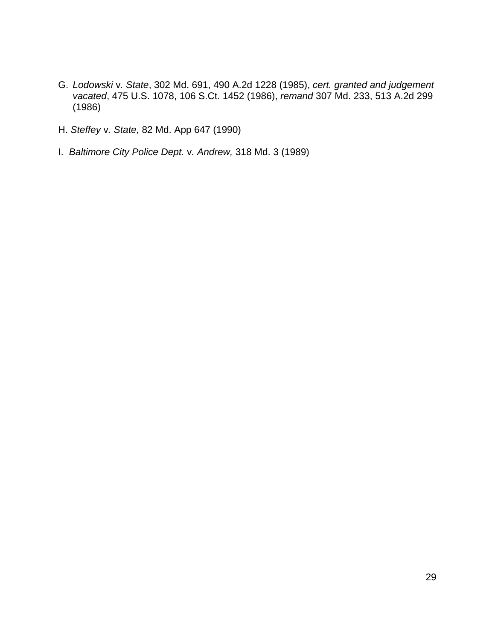- G. *Lodowski* v*. State*, 302 Md. 691, 490 A.2d 1228 (1985), *cert. granted and judgement vacated*, 475 U.S. 1078, 106 S.Ct. 1452 (1986), *remand* 307 Md. 233, 513 A.2d 299 (1986)
- H. *Steffey* v*. State,* 82 Md. App 647 (1990)
- I. *Baltimore City Police Dept.* v*. Andrew,* 318 Md. 3 (1989)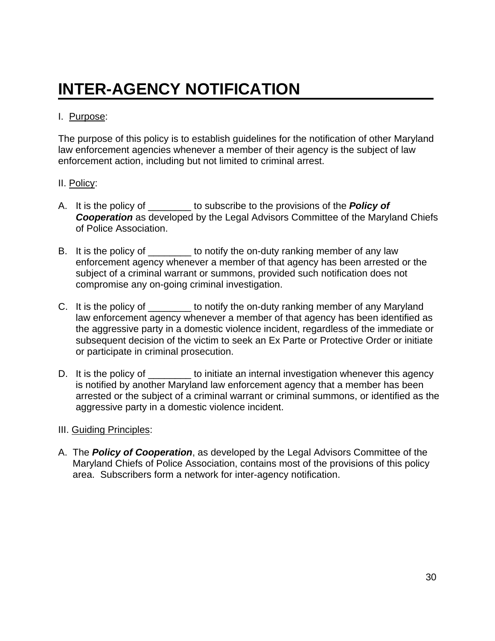## <span id="page-29-0"></span>**INTER-AGENCY NOTIFICATION**

#### I. Purpose:

The purpose of this policy is to establish guidelines for the notification of other Maryland law enforcement agencies whenever a member of their agency is the subject of law enforcement action, including but not limited to criminal arrest.

#### II. Policy:

- A. It is the policy of \_\_\_\_\_\_\_\_ to subscribe to the provisions of the *Policy of Cooperation* as developed by the Legal Advisors Committee of the Maryland Chiefs of Police Association.
- B. It is the policy of \_\_\_\_\_\_\_\_ to notify the on-duty ranking member of any law enforcement agency whenever a member of that agency has been arrested or the subject of a criminal warrant or summons, provided such notification does not compromise any on-going criminal investigation.
- C. It is the policy of \_\_\_\_\_\_\_\_ to notify the on-duty ranking member of any Maryland law enforcement agency whenever a member of that agency has been identified as the aggressive party in a domestic violence incident, regardless of the immediate or subsequent decision of the victim to seek an Ex Parte or Protective Order or initiate or participate in criminal prosecution.
- D. It is the policy of \_\_\_\_\_\_\_\_ to initiate an internal investigation whenever this agency is notified by another Maryland law enforcement agency that a member has been arrested or the subject of a criminal warrant or criminal summons, or identified as the aggressive party in a domestic violence incident.

#### III. Guiding Principles:

A. The *Policy of Cooperation*, as developed by the Legal Advisors Committee of the Maryland Chiefs of Police Association, contains most of the provisions of this policy area. Subscribers form a network for inter-agency notification.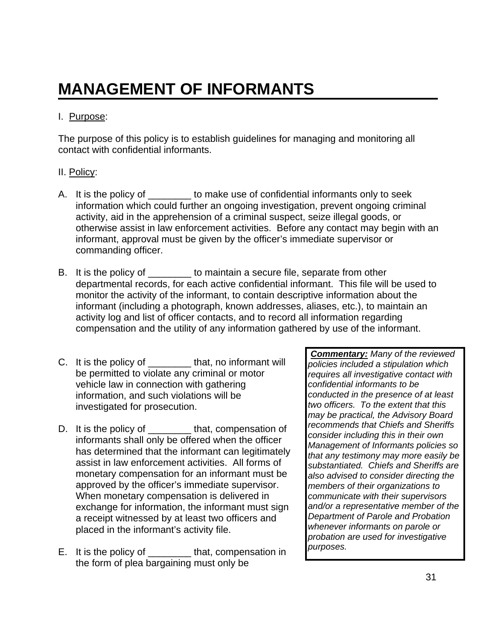## <span id="page-30-0"></span>**MANAGEMENT OF INFORMANTS**

#### I. Purpose:

The purpose of this policy is to establish guidelines for managing and monitoring all contact with confidential informants.

#### II. Policy:

- A. It is the policy of to make use of confidential informants only to seek information which could further an ongoing investigation, prevent ongoing criminal activity, aid in the apprehension of a criminal suspect, seize illegal goods, or otherwise assist in law enforcement activities. Before any contact may begin with an informant, approval must be given by the officer's immediate supervisor or commanding officer.
- B. It is the policy of the maintain a secure file, separate from other departmental records, for each active confidential informant. This file will be used to monitor the activity of the informant, to contain descriptive information about the informant (including a photograph, known addresses, aliases, etc.), to maintain an activity log and list of officer contacts, and to record all information regarding compensation and the utility of any information gathered by use of the informant.
- C. It is the policy of \_\_\_\_\_\_\_\_ that, no informant will be permitted to violate any criminal or motor vehicle law in connection with gathering information, and such violations will be investigated for prosecution.
- D. It is the policy of that, compensation of informants shall only be offered when the officer has determined that the informant can legitimately assist in law enforcement activities. All forms of monetary compensation for an informant must be approved by the officer's immediate supervisor. When monetary compensation is delivered in exchange for information, the informant must sign a receipt witnessed by at least two officers and placed in the informant's activity file.
- E. It is the policy of \_\_\_\_\_\_\_\_ that, compensation in the form of plea bargaining must only be

*Commentary: Many of the reviewed policies included a stipulation which requires all investigative contact with confidential informants to be conducted in the presence of at least two officers. To the extent that this may be practical, the Advisory Board recommends that Chiefs and Sheriffs consider including this in their own Management of Informants policies so that any testimony may more easily be substantiated. Chiefs and Sheriffs are also advised to consider directing the members of their organizations to communicate with their supervisors and/or a representative member of the Department of Parole and Probation whenever informants on parole or probation are used for investigative purposes.*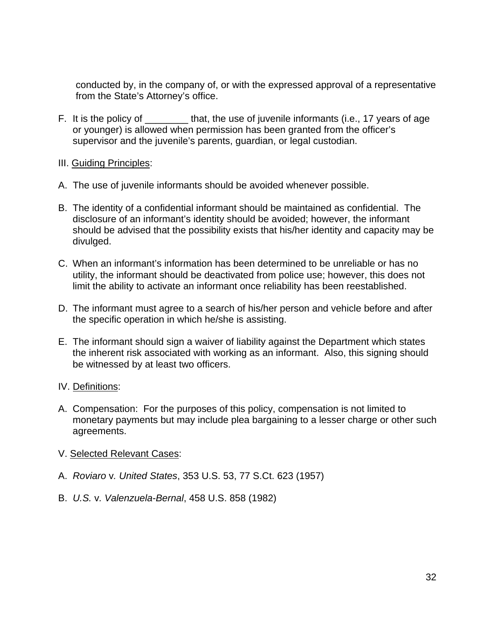conducted by, in the company of, or with the expressed approval of a representative from the State's Attorney's office.

- F. It is the policy of <u>equal</u> that, the use of juvenile informants (i.e., 17 years of age or younger) is allowed when permission has been granted from the officer's supervisor and the juvenile's parents, guardian, or legal custodian.
- III. Guiding Principles:
- A. The use of juvenile informants should be avoided whenever possible.
- B. The identity of a confidential informant should be maintained as confidential. The disclosure of an informant's identity should be avoided; however, the informant should be advised that the possibility exists that his/her identity and capacity may be divulged.
- C. When an informant's information has been determined to be unreliable or has no utility, the informant should be deactivated from police use; however, this does not limit the ability to activate an informant once reliability has been reestablished.
- D. The informant must agree to a search of his/her person and vehicle before and after the specific operation in which he/she is assisting.
- E. The informant should sign a waiver of liability against the Department which states the inherent risk associated with working as an informant. Also, this signing should be witnessed by at least two officers.

#### IV. Definitions:

A. Compensation: For the purposes of this policy, compensation is not limited to monetary payments but may include plea bargaining to a lesser charge or other such agreements.

#### V. Selected Relevant Cases:

- A. *Roviaro* v*. United States*, 353 U.S. 53, 77 S.Ct. 623 (1957)
- B. *U.S.* v*. Valenzuela-Bernal*, 458 U.S. 858 (1982)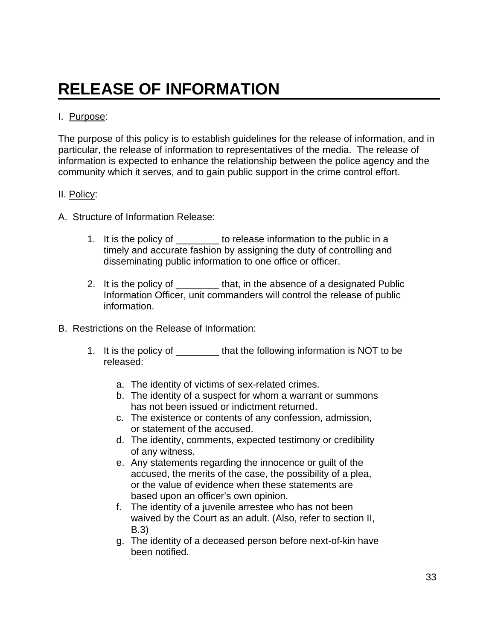### <span id="page-32-0"></span>**RELEASE OF INFORMATION**

#### I. Purpose:

The purpose of this policy is to establish guidelines for the release of information, and in particular, the release of information to representatives of the media. The release of information is expected to enhance the relationship between the police agency and the community which it serves, and to gain public support in the crime control effort.

- A. Structure of Information Release:
	- 1. It is the policy of \_\_\_\_\_\_\_\_ to release information to the public in a timely and accurate fashion by assigning the duty of controlling and disseminating public information to one office or officer.
	- 2. It is the policy of \_\_\_\_\_\_\_\_\_ that, in the absence of a designated Public Information Officer, unit commanders will control the release of public information.
- B. Restrictions on the Release of Information:
	- 1. It is the policy of \_\_\_\_\_\_\_\_ that the following information is NOT to be released:
		- a. The identity of victims of sex-related crimes.
		- b. The identity of a suspect for whom a warrant or summons has not been issued or indictment returned.
		- c. The existence or contents of any confession, admission, or statement of the accused.
		- d. The identity, comments, expected testimony or credibility of any witness.
		- e. Any statements regarding the innocence or guilt of the accused, the merits of the case, the possibility of a plea, or the value of evidence when these statements are based upon an officer's own opinion.
		- f. The identity of a juvenile arrestee who has not been waived by the Court as an adult. (Also, refer to section II, B.3)
		- g. The identity of a deceased person before next-of-kin have been notified.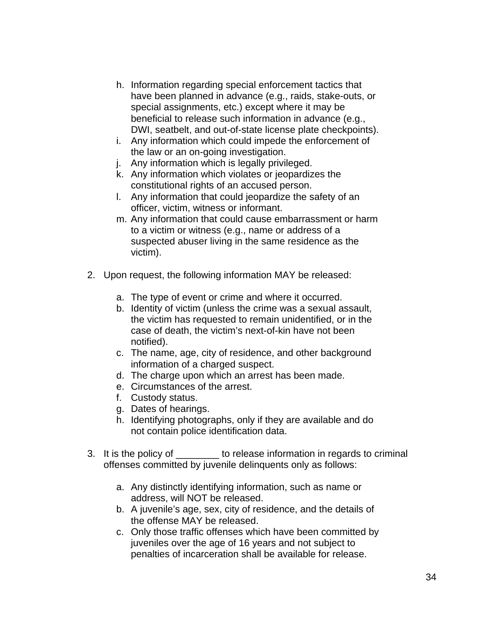- h. Information regarding special enforcement tactics that have been planned in advance (e.g., raids, stake-outs, or special assignments, etc.) except where it may be beneficial to release such information in advance (e.g., DWI, seatbelt, and out-of-state license plate checkpoints).
- i. Any information which could impede the enforcement of the law or an on-going investigation.
- j. Any information which is legally privileged.
- k. Any information which violates or jeopardizes the constitutional rights of an accused person.
- l. Any information that could jeopardize the safety of an officer, victim, witness or informant.
- m. Any information that could cause embarrassment or harm to a victim or witness (e.g., name or address of a suspected abuser living in the same residence as the victim).
- 2. Upon request, the following information MAY be released:
	- a. The type of event or crime and where it occurred.
	- b. Identity of victim (unless the crime was a sexual assault, the victim has requested to remain unidentified, or in the case of death, the victim's next-of-kin have not been notified).
	- c. The name, age, city of residence, and other background information of a charged suspect.
	- d. The charge upon which an arrest has been made.
	- e. Circumstances of the arrest.
	- f. Custody status.
	- g. Dates of hearings.
	- h. Identifying photographs, only if they are available and do not contain police identification data.
- 3. It is the policy of \_\_\_\_\_\_\_\_ to release information in regards to criminal offenses committed by juvenile delinquents only as follows:
	- a. Any distinctly identifying information, such as name or address, will NOT be released.
	- b. A juvenile's age, sex, city of residence, and the details of the offense MAY be released.
	- c. Only those traffic offenses which have been committed by juveniles over the age of 16 years and not subject to penalties of incarceration shall be available for release.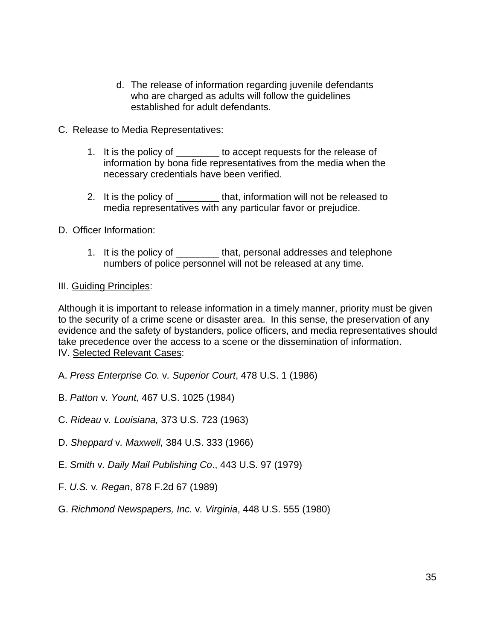- d. The release of information regarding juvenile defendants who are charged as adults will follow the guidelines established for adult defendants.
- C. Release to Media Representatives:
	- 1. It is the policy of to accept requests for the release of information by bona fide representatives from the media when the necessary credentials have been verified.
	- 2. It is the policy of \_\_\_\_\_\_\_\_ that, information will not be released to media representatives with any particular favor or prejudice.
- D. Officer Information:
	- 1. It is the policy of \_\_\_\_\_\_\_\_ that, personal addresses and telephone numbers of police personnel will not be released at any time.

#### III. Guiding Principles:

Although it is important to release information in a timely manner, priority must be given to the security of a crime scene or disaster area. In this sense, the preservation of any evidence and the safety of bystanders, police officers, and media representatives should take precedence over the access to a scene or the dissemination of information. IV. Selected Relevant Cases:

- A. *Press Enterprise Co.* v*. Superior Court*, 478 U.S. 1 (1986)
- B. *Patton* v*. Yount,* 467 U.S. 1025 (1984)
- C. *Rideau* v*. Louisiana,* 373 U.S. 723 (1963)
- D. *Sheppard* v*. Maxwell,* 384 U.S. 333 (1966)
- E. *Smith* v*. Daily Mail Publishing Co*., 443 U.S. 97 (1979)
- F. *U.S.* v*. Regan*, 878 F.2d 67 (1989)
- G. *Richmond Newspapers, Inc.* v*. Virginia*, 448 U.S. 555 (1980)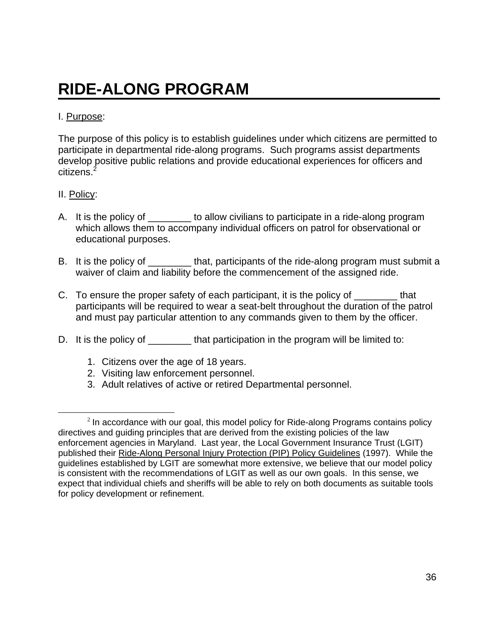### <span id="page-35-0"></span>**RIDE-ALONG PROGRAM**

#### I. Purpose:

The purpose of this policy is to establish guidelines under which citizens are permitted to participate in departmental ride-along programs. Such programs assist departments develop positive public relations and provide educational experiences for officers and citizens.<sup>2</sup>

- A. It is the policy of \_\_\_\_\_\_\_\_ to allow civilians to participate in a ride-along program which allows them to accompany individual officers on patrol for observational or educational purposes.
- B. It is the policy of <u>section</u> that, participants of the ride-along program must submit a waiver of claim and liability before the commencement of the assigned ride.
- C. To ensure the proper safety of each participant, it is the policy of \_\_\_\_\_\_\_\_ that participants will be required to wear a seat-belt throughout the duration of the patrol and must pay particular attention to any commands given to them by the officer.
- D. It is the policy of that participation in the program will be limited to:
	- 1. Citizens over the age of 18 years.
	- 2. Visiting law enforcement personnel.
	- 3. Adult relatives of active or retired Departmental personnel.

<sup>&</sup>lt;sup>2</sup> In accordance with our goal, this model policy for Ride-along Programs contains policy directives and guiding principles that are derived from the existing policies of the law enforcement agencies in Maryland. Last year, the Local Government Insurance Trust (LGIT) published their Ride-Along Personal Injury Protection (PIP) Policy Guidelines (1997). While the guidelines established by LGIT are somewhat more extensive, we believe that our model policy is consistent with the recommendations of LGIT as well as our own goals. In this sense, we expect that individual chiefs and sheriffs will be able to rely on both documents as suitable tools for policy development or refinement.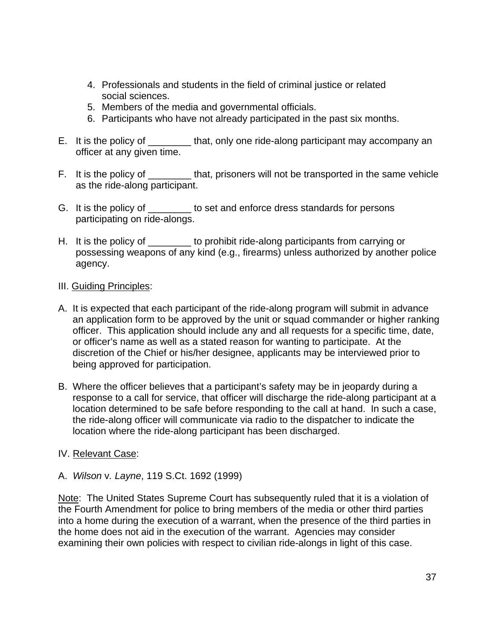- 4. Professionals and students in the field of criminal justice or related social sciences.
- 5. Members of the media and governmental officials.
- 6. Participants who have not already participated in the past six months.
- E. It is the policy of \_\_\_\_\_\_\_\_\_ that, only one ride-along participant may accompany an officer at any given time.
- F. It is the policy of <u>second</u> that, prisoners will not be transported in the same vehicle as the ride-along participant.
- G. It is the policy of \_\_\_\_\_\_\_\_\_ to set and enforce dress standards for persons participating on ride-alongs.
- H. It is the policy of \_\_\_\_\_\_\_\_ to prohibit ride-along participants from carrying or possessing weapons of any kind (e.g., firearms) unless authorized by another police agency.
- III. Guiding Principles:
- A. It is expected that each participant of the ride-along program will submit in advance an application form to be approved by the unit or squad commander or higher ranking officer. This application should include any and all requests for a specific time, date, or officer's name as well as a stated reason for wanting to participate. At the discretion of the Chief or his/her designee, applicants may be interviewed prior to being approved for participation.
- B. Where the officer believes that a participant's safety may be in jeopardy during a response to a call for service, that officer will discharge the ride-along participant at a location determined to be safe before responding to the call at hand. In such a case, the ride-along officer will communicate via radio to the dispatcher to indicate the location where the ride-along participant has been discharged.
- IV. Relevant Case:

### A. *Wilson* v*. Layne*, 119 S.Ct. 1692 (1999)

Note: The United States Supreme Court has subsequently ruled that it is a violation of the Fourth Amendment for police to bring members of the media or other third parties into a home during the execution of a warrant, when the presence of the third parties in the home does not aid in the execution of the warrant. Agencies may consider examining their own policies with respect to civilian ride-alongs in light of this case.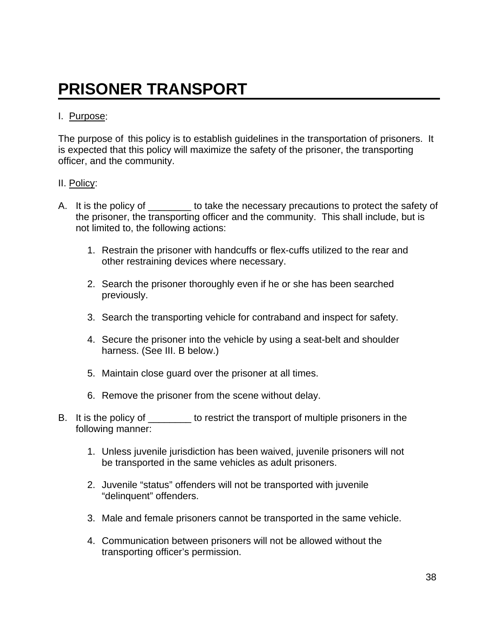## **PRISONER TRANSPORT**

### I. Purpose:

The purpose of this policy is to establish guidelines in the transportation of prisoners. It is expected that this policy will maximize the safety of the prisoner, the transporting officer, and the community.

### II. Policy:

- A. It is the policy of to take the necessary precautions to protect the safety of the prisoner, the transporting officer and the community. This shall include, but is not limited to, the following actions:
	- 1. Restrain the prisoner with handcuffs or flex-cuffs utilized to the rear and other restraining devices where necessary.
	- 2. Search the prisoner thoroughly even if he or she has been searched previously.
	- 3. Search the transporting vehicle for contraband and inspect for safety.
	- 4. Secure the prisoner into the vehicle by using a seat-belt and shoulder harness. (See III. B below.)
	- 5. Maintain close guard over the prisoner at all times.
	- 6. Remove the prisoner from the scene without delay.
- B. It is the policy of \_\_\_\_\_\_\_\_\_ to restrict the transport of multiple prisoners in the following manner:
	- 1. Unless juvenile jurisdiction has been waived, juvenile prisoners will not be transported in the same vehicles as adult prisoners.
	- 2. Juvenile "status" offenders will not be transported with juvenile "delinquent" offenders.
	- 3. Male and female prisoners cannot be transported in the same vehicle.
	- 4. Communication between prisoners will not be allowed without the transporting officer's permission.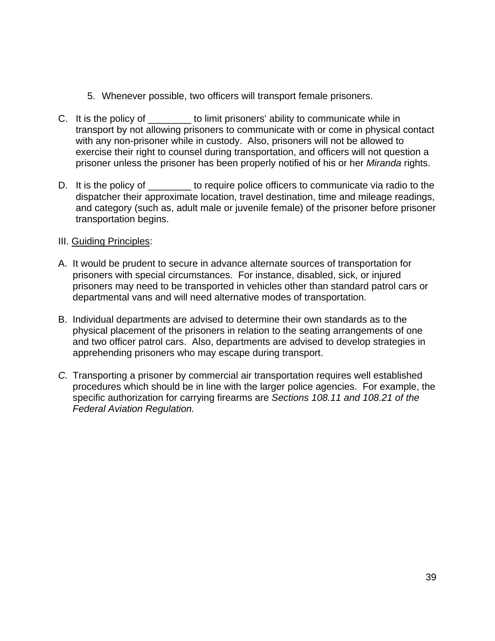- 5. Whenever possible, two officers will transport female prisoners.
- C. It is the policy of \_\_\_\_\_\_\_\_\_ to limit prisoners' ability to communicate while in transport by not allowing prisoners to communicate with or come in physical contact with any non-prisoner while in custody. Also, prisoners will not be allowed to exercise their right to counsel during transportation, and officers will not question a prisoner unless the prisoner has been properly notified of his or her *Miranda* rights.
- D. It is the policy of \_\_\_\_\_\_\_\_ to require police officers to communicate via radio to the dispatcher their approximate location, travel destination, time and mileage readings, and category (such as, adult male or juvenile female) of the prisoner before prisoner transportation begins.

### III. Guiding Principles:

- A. It would be prudent to secure in advance alternate sources of transportation for prisoners with special circumstances. For instance, disabled, sick, or injured prisoners may need to be transported in vehicles other than standard patrol cars or departmental vans and will need alternative modes of transportation.
- B. Individual departments are advised to determine their own standards as to the physical placement of the prisoners in relation to the seating arrangements of one and two officer patrol cars. Also, departments are advised to develop strategies in apprehending prisoners who may escape during transport.
- *C.* Transporting a prisoner by commercial air transportation requires well established procedures which should be in line with the larger police agencies. For example, the specific authorization for carrying firearms are *Sections 108.11 and 108.21 of the Federal Aviation Regulation.*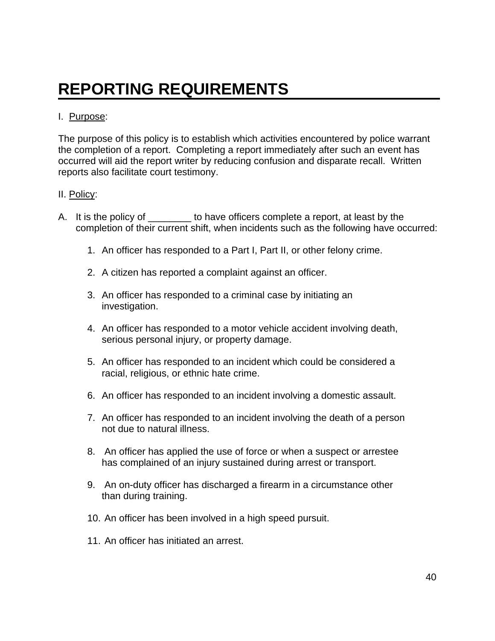# **REPORTING REQUIREMENTS**

### I. Purpose:

The purpose of this policy is to establish which activities encountered by police warrant the completion of a report. Completing a report immediately after such an event has occurred will aid the report writer by reducing confusion and disparate recall. Written reports also facilitate court testimony.

### II. Policy:

- A. It is the policy of \_\_\_\_\_\_\_\_ to have officers complete a report, at least by the completion of their current shift, when incidents such as the following have occurred:
	- 1. An officer has responded to a Part I, Part II, or other felony crime.
	- 2. A citizen has reported a complaint against an officer.
	- 3. An officer has responded to a criminal case by initiating an investigation.
	- 4. An officer has responded to a motor vehicle accident involving death, serious personal injury, or property damage.
	- 5. An officer has responded to an incident which could be considered a racial, religious, or ethnic hate crime.
	- 6. An officer has responded to an incident involving a domestic assault.
	- 7. An officer has responded to an incident involving the death of a person not due to natural illness.
	- 8. An officer has applied the use of force or when a suspect or arrestee has complained of an injury sustained during arrest or transport.
	- 9. An on-duty officer has discharged a firearm in a circumstance other than during training.
	- 10. An officer has been involved in a high speed pursuit.
	- 11. An officer has initiated an arrest.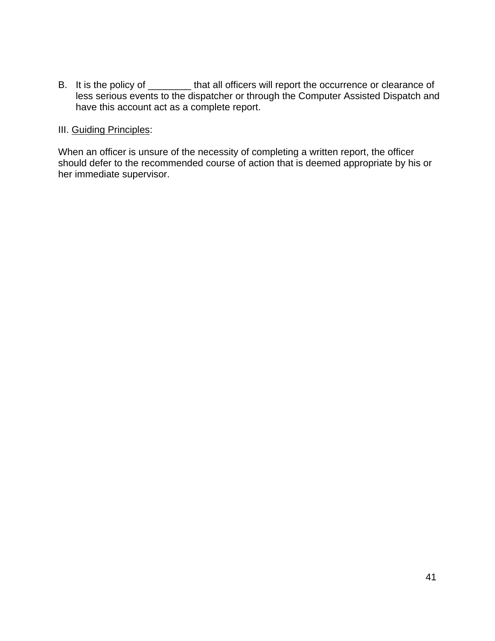B. It is the policy of \_\_\_\_\_\_\_\_ that all officers will report the occurrence or clearance of less serious events to the dispatcher or through the Computer Assisted Dispatch and have this account act as a complete report.

### III. Guiding Principles:

When an officer is unsure of the necessity of completing a written report, the officer should defer to the recommended course of action that is deemed appropriate by his or her immediate supervisor.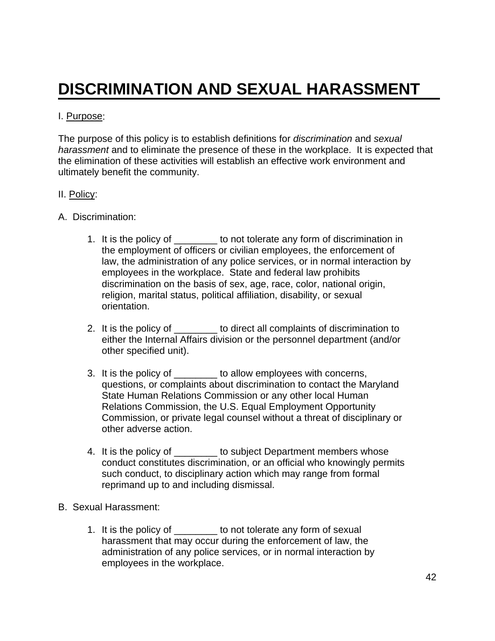# **DISCRIMINATION AND SEXUAL HARASSMENT**

### I. Purpose:

The purpose of this policy is to establish definitions for *discrimination* and *sexual harassment* and to eliminate the presence of these in the workplace. It is expected that the elimination of these activities will establish an effective work environment and ultimately benefit the community.

### II. Policy:

- A. Discrimination:
	- 1. It is the policy of \_\_\_\_\_\_\_\_ to not tolerate any form of discrimination in the employment of officers or civilian employees, the enforcement of law, the administration of any police services, or in normal interaction by employees in the workplace. State and federal law prohibits discrimination on the basis of sex, age, race, color, national origin, religion, marital status, political affiliation, disability, or sexual orientation.
	- 2. It is the policy of \_\_\_\_\_\_\_\_ to direct all complaints of discrimination to either the Internal Affairs division or the personnel department (and/or other specified unit).
	- 3. It is the policy of \_\_\_\_\_\_\_\_ to allow employees with concerns, questions, or complaints about discrimination to contact the Maryland State Human Relations Commission or any other local Human Relations Commission, the U.S. Equal Employment Opportunity Commission, or private legal counsel without a threat of disciplinary or other adverse action.
	- 4. It is the policy of \_\_\_\_\_\_\_ to subject Department members whose conduct constitutes discrimination, or an official who knowingly permits such conduct, to disciplinary action which may range from formal reprimand up to and including dismissal.
- B. Sexual Harassment:
	- 1. It is the policy of \_\_\_\_\_\_\_\_ to not tolerate any form of sexual harassment that may occur during the enforcement of law, the administration of any police services, or in normal interaction by employees in the workplace.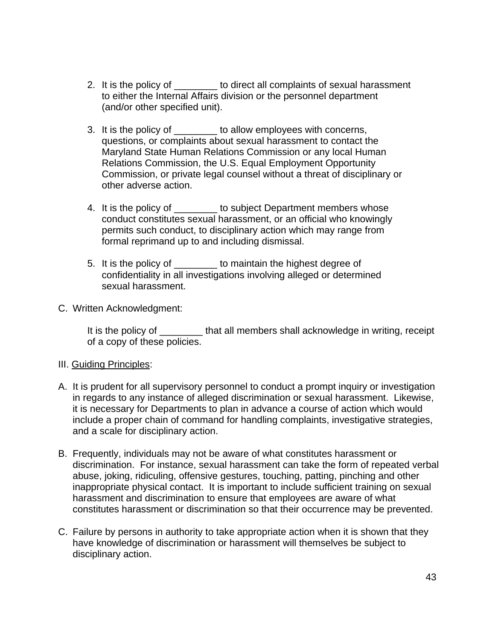- 2. It is the policy of \_\_\_\_\_\_\_\_ to direct all complaints of sexual harassment to either the Internal Affairs division or the personnel department (and/or other specified unit).
- 3. It is the policy of to allow employees with concerns, questions, or complaints about sexual harassment to contact the Maryland State Human Relations Commission or any local Human Relations Commission, the U.S. Equal Employment Opportunity Commission, or private legal counsel without a threat of disciplinary or other adverse action.
- 4. It is the policy of \_\_\_\_\_\_\_\_ to subject Department members whose conduct constitutes sexual harassment, or an official who knowingly permits such conduct, to disciplinary action which may range from formal reprimand up to and including dismissal.
- 5. It is the policy of to maintain the highest degree of confidentiality in all investigations involving alleged or determined sexual harassment.
- C. Written Acknowledgment:

It is the policy of that all members shall acknowledge in writing, receipt of a copy of these policies.

- III. Guiding Principles:
- A. It is prudent for all supervisory personnel to conduct a prompt inquiry or investigation in regards to any instance of alleged discrimination or sexual harassment. Likewise, it is necessary for Departments to plan in advance a course of action which would include a proper chain of command for handling complaints, investigative strategies, and a scale for disciplinary action.
- B. Frequently, individuals may not be aware of what constitutes harassment or discrimination. For instance, sexual harassment can take the form of repeated verbal abuse, joking, ridiculing, offensive gestures, touching, patting, pinching and other inappropriate physical contact. It is important to include sufficient training on sexual harassment and discrimination to ensure that employees are aware of what constitutes harassment or discrimination so that their occurrence may be prevented.
- C. Failure by persons in authority to take appropriate action when it is shown that they have knowledge of discrimination or harassment will themselves be subject to disciplinary action.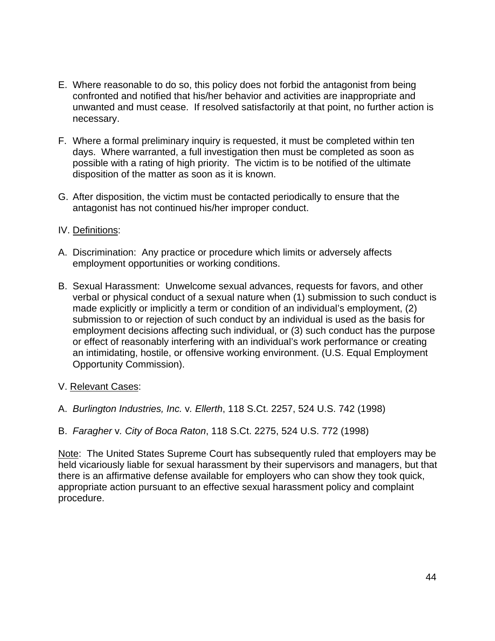- E. Where reasonable to do so, this policy does not forbid the antagonist from being confronted and notified that his/her behavior and activities are inappropriate and unwanted and must cease. If resolved satisfactorily at that point, no further action is necessary.
- F. Where a formal preliminary inquiry is requested, it must be completed within ten days. Where warranted, a full investigation then must be completed as soon as possible with a rating of high priority. The victim is to be notified of the ultimate disposition of the matter as soon as it is known.
- G. After disposition, the victim must be contacted periodically to ensure that the antagonist has not continued his/her improper conduct.
- IV. Definitions:
- A. Discrimination: Any practice or procedure which limits or adversely affects employment opportunities or working conditions.
- B. Sexual Harassment: Unwelcome sexual advances, requests for favors, and other verbal or physical conduct of a sexual nature when (1) submission to such conduct is made explicitly or implicitly a term or condition of an individual's employment, (2) submission to or rejection of such conduct by an individual is used as the basis for employment decisions affecting such individual, or (3) such conduct has the purpose or effect of reasonably interfering with an individual's work performance or creating an intimidating, hostile, or offensive working environment. (U.S. Equal Employment Opportunity Commission).
- V. Relevant Cases:
- A. *Burlington Industries, Inc.* v*. Ellerth*, 118 S.Ct. 2257, 524 U.S. 742 (1998)
- B. *Faragher* v*. City of Boca Raton*, 118 S.Ct. 2275, 524 U.S. 772 (1998)

Note: The United States Supreme Court has subsequently ruled that employers may be held vicariously liable for sexual harassment by their supervisors and managers, but that there is an affirmative defense available for employers who can show they took quick, appropriate action pursuant to an effective sexual harassment policy and complaint procedure.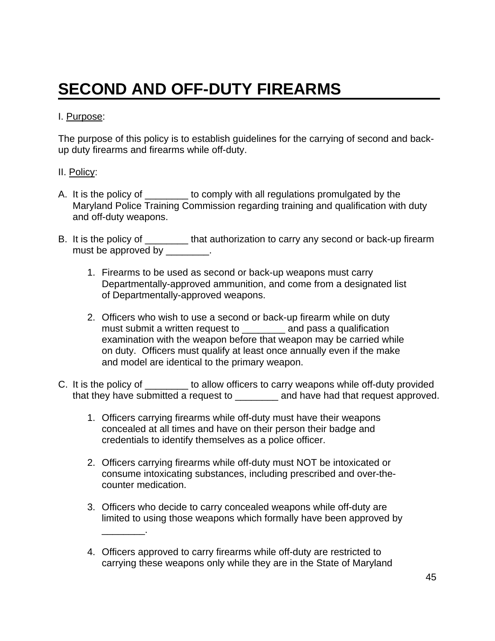# **SECOND AND OFF-DUTY FIREARMS**

### I. Purpose:

The purpose of this policy is to establish guidelines for the carrying of second and backup duty firearms and firearms while off-duty.

### II. Policy:

 $\overline{\phantom{a}}$  . The set of the set of the set of the set of the set of the set of the set of the set of the set of the set of the set of the set of the set of the set of the set of the set of the set of the set of the set o

- A. It is the policy of \_\_\_\_\_\_\_\_ to comply with all regulations promulgated by the Maryland Police Training Commission regarding training and qualification with duty and off-duty weapons.
- B. It is the policy of \_\_\_\_\_\_\_\_\_ that authorization to carry any second or back-up firearm must be approved by The set of the set of the set of the set of the set of the set of the set of the set of th
	- 1. Firearms to be used as second or back-up weapons must carry Departmentally-approved ammunition, and come from a designated list of Departmentally-approved weapons.
	- 2. Officers who wish to use a second or back-up firearm while on duty must submit a written request to \_\_\_\_\_\_\_\_ and pass a qualification examination with the weapon before that weapon may be carried while on duty. Officers must qualify at least once annually even if the make and model are identical to the primary weapon.
- C. It is the policy of \_\_\_\_\_\_\_\_ to allow officers to carry weapons while off-duty provided that they have submitted a request to \_\_\_\_\_\_\_\_ and have had that request approved.
	- 1. Officers carrying firearms while off-duty must have their weapons concealed at all times and have on their person their badge and credentials to identify themselves as a police officer.
	- 2. Officers carrying firearms while off-duty must NOT be intoxicated or consume intoxicating substances, including prescribed and over-thecounter medication.
	- 3. Officers who decide to carry concealed weapons while off-duty are limited to using those weapons which formally have been approved by
	- 4. Officers approved to carry firearms while off-duty are restricted to carrying these weapons only while they are in the State of Maryland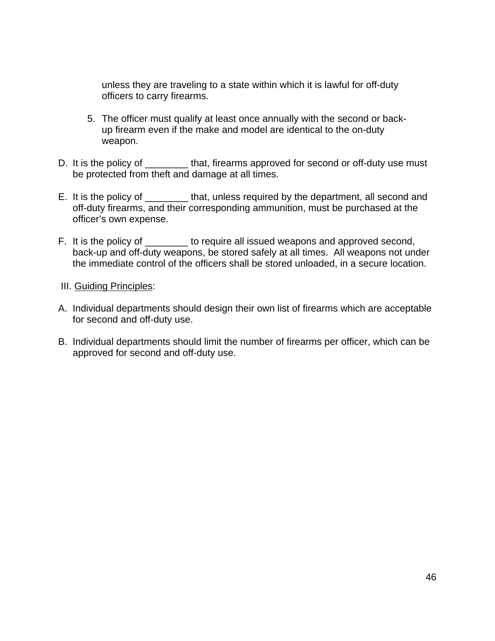unless they are traveling to a state within which it is lawful for off-duty officers to carry firearms.

- 5. The officer must qualify at least once annually with the second or backup firearm even if the make and model are identical to the on-duty weapon.
- D. It is the policy of \_\_\_\_\_\_\_\_\_\_ that, firearms approved for second or off-duty use must be protected from theft and damage at all times.
- E. It is the policy of \_\_\_\_\_\_\_\_\_ that, unless required by the department, all second and off-duty firearms, and their corresponding ammunition, must be purchased at the officer's own expense.
- F. It is the policy of \_\_\_\_\_\_\_\_\_ to require all issued weapons and approved second, back-up and off-duty weapons, be stored safely at all times. All weapons not under the immediate control of the officers shall be stored unloaded, in a secure location.
- III. Guiding Principles:
- A. Individual departments should design their own list of firearms which are acceptable for second and off-duty use.
- B. Individual departments should limit the number of firearms per officer, which can be approved for second and off-duty use.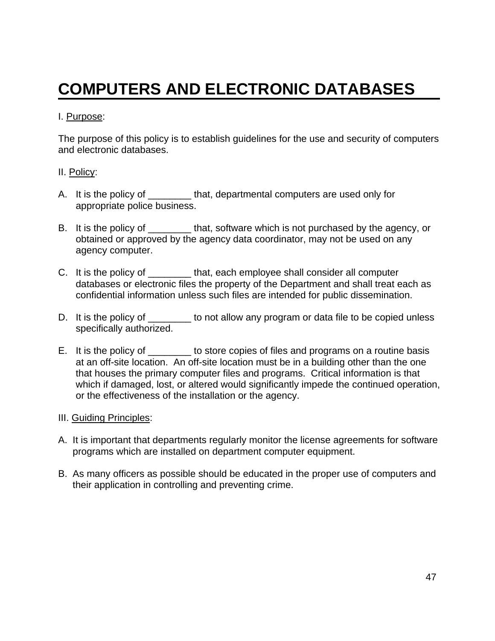# **COMPUTERS AND ELECTRONIC DATABASES**

### I. Purpose:

The purpose of this policy is to establish guidelines for the use and security of computers and electronic databases.

### II. Policy:

- A. It is the policy of that, departmental computers are used only for appropriate police business.
- B. It is the policy of that, software which is not purchased by the agency, or obtained or approved by the agency data coordinator, may not be used on any agency computer.
- C. It is the policy of \_\_\_\_\_\_\_\_\_ that, each employee shall consider all computer databases or electronic files the property of the Department and shall treat each as confidential information unless such files are intended for public dissemination.
- D. It is the policy of to not allow any program or data file to be copied unless specifically authorized.
- E. It is the policy of \_\_\_\_\_\_\_\_\_ to store copies of files and programs on a routine basis at an off-site location. An off-site location must be in a building other than the one that houses the primary computer files and programs. Critical information is that which if damaged, lost, or altered would significantly impede the continued operation, or the effectiveness of the installation or the agency.

### III. Guiding Principles:

- A. It is important that departments regularly monitor the license agreements for software programs which are installed on department computer equipment.
- B. As many officers as possible should be educated in the proper use of computers and their application in controlling and preventing crime.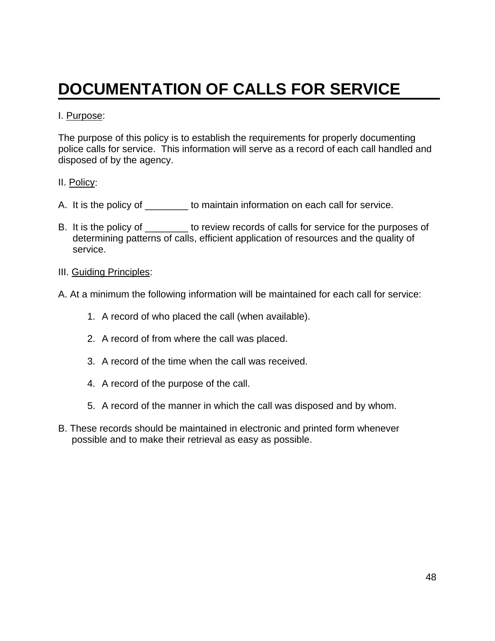# **DOCUMENTATION OF CALLS FOR SERVICE**

### I. Purpose:

The purpose of this policy is to establish the requirements for properly documenting police calls for service. This information will serve as a record of each call handled and disposed of by the agency.

### II. Policy:

- A. It is the policy of to maintain information on each call for service.
- B. It is the policy of to review records of calls for service for the purposes of determining patterns of calls, efficient application of resources and the quality of service.

### III. Guiding Principles:

- A. At a minimum the following information will be maintained for each call for service:
	- 1. A record of who placed the call (when available).
	- 2. A record of from where the call was placed.
	- 3. A record of the time when the call was received.
	- 4. A record of the purpose of the call.
	- 5. A record of the manner in which the call was disposed and by whom.
- B. These records should be maintained in electronic and printed form whenever possible and to make their retrieval as easy as possible.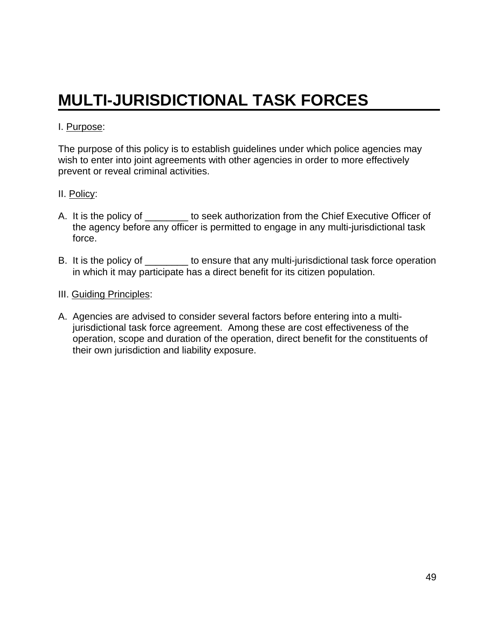# **MULTI-JURISDICTIONAL TASK FORCES**

### I. Purpose:

The purpose of this policy is to establish guidelines under which police agencies may wish to enter into joint agreements with other agencies in order to more effectively prevent or reveal criminal activities.

### II. Policy:

- A. It is the policy of \_\_\_\_\_\_\_\_ to seek authorization from the Chief Executive Officer of the agency before any officer is permitted to engage in any multi-jurisdictional task force.
- B. It is the policy of \_\_\_\_\_\_\_\_ to ensure that any multi-jurisdictional task force operation in which it may participate has a direct benefit for its citizen population.
- III. Guiding Principles:
- A. Agencies are advised to consider several factors before entering into a multijurisdictional task force agreement. Among these are cost effectiveness of the operation, scope and duration of the operation, direct benefit for the constituents of their own jurisdiction and liability exposure.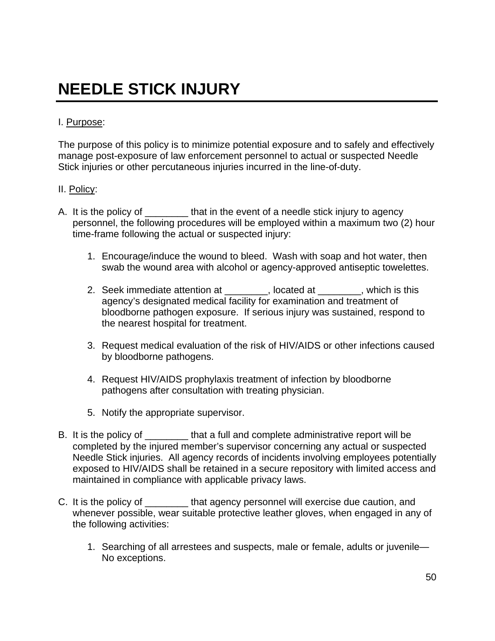# **NEEDLE STICK INJURY**

### I. Purpose:

The purpose of this policy is to minimize potential exposure and to safely and effectively manage post-exposure of law enforcement personnel to actual or suspected Needle Stick injuries or other percutaneous injuries incurred in the line-of-duty.

### II. Policy:

- A. It is the policy of that in the event of a needle stick injury to agency personnel, the following procedures will be employed within a maximum two (2) hour time-frame following the actual or suspected injury:
	- 1. Encourage/induce the wound to bleed. Wash with soap and hot water, then swab the wound area with alcohol or agency-approved antiseptic towelettes.
	- 2. Seek immediate attention at **All is considered at** a set of the set of this this agency's designated medical facility for examination and treatment of bloodborne pathogen exposure. If serious injury was sustained, respond to the nearest hospital for treatment.
	- 3. Request medical evaluation of the risk of HIV/AIDS or other infections caused by bloodborne pathogens.
	- 4. Request HIV/AIDS prophylaxis treatment of infection by bloodborne pathogens after consultation with treating physician.
	- 5. Notify the appropriate supervisor.
- B. It is the policy of that a full and complete administrative report will be completed by the injured member's supervisor concerning any actual or suspected Needle Stick injuries. All agency records of incidents involving employees potentially exposed to HIV/AIDS shall be retained in a secure repository with limited access and maintained in compliance with applicable privacy laws.
- C. It is the policy of \_\_\_\_\_\_\_\_ that agency personnel will exercise due caution, and whenever possible, wear suitable protective leather gloves, when engaged in any of the following activities:
	- 1. Searching of all arrestees and suspects, male or female, adults or juvenile— No exceptions.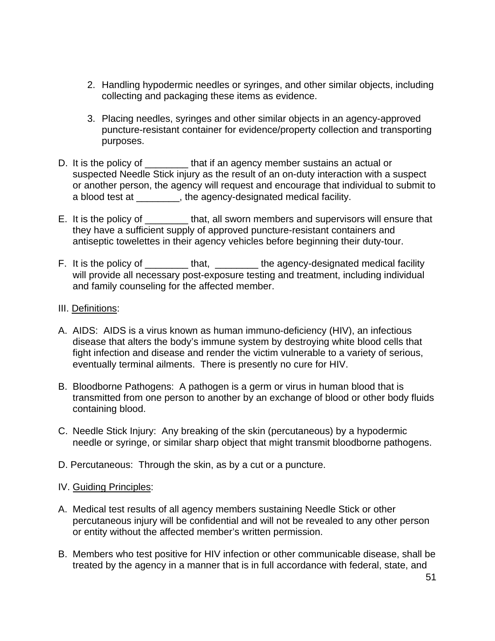- 2. Handling hypodermic needles or syringes, and other similar objects, including collecting and packaging these items as evidence.
- 3. Placing needles, syringes and other similar objects in an agency-approved puncture-resistant container for evidence/property collection and transporting purposes.
- D. It is the policy of <u>sent of the time that if</u> an agency member sustains an actual or suspected Needle Stick injury as the result of an on-duty interaction with a suspect or another person, the agency will request and encourage that individual to submit to a blood test at \_\_\_\_\_\_\_\_, the agency-designated medical facility.
- E. It is the policy of that, all sworn members and supervisors will ensure that they have a sufficient supply of approved puncture-resistant containers and antiseptic towelettes in their agency vehicles before beginning their duty-tour.
- F. It is the policy of that, the agency-designated medical facility will provide all necessary post-exposure testing and treatment, including individual and family counseling for the affected member.
- III. Definitions:
- A. AIDS: AIDS is a virus known as human immuno-deficiency (HIV), an infectious disease that alters the body's immune system by destroying white blood cells that fight infection and disease and render the victim vulnerable to a variety of serious, eventually terminal ailments. There is presently no cure for HIV.
- B. Bloodborne Pathogens: A pathogen is a germ or virus in human blood that is transmitted from one person to another by an exchange of blood or other body fluids containing blood.
- C. Needle Stick Injury: Any breaking of the skin (percutaneous) by a hypodermic needle or syringe, or similar sharp object that might transmit bloodborne pathogens.
- D. Percutaneous: Through the skin, as by a cut or a puncture.
- IV. Guiding Principles:
- A. Medical test results of all agency members sustaining Needle Stick or other percutaneous injury will be confidential and will not be revealed to any other person or entity without the affected member's written permission.
- B. Members who test positive for HIV infection or other communicable disease, shall be treated by the agency in a manner that is in full accordance with federal, state, and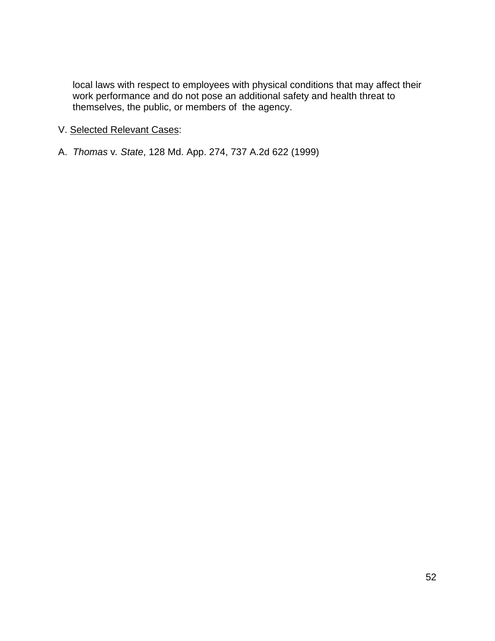local laws with respect to employees with physical conditions that may affect their work performance and do not pose an additional safety and health threat to themselves, the public, or members of the agency.

- V. Selected Relevant Cases:
- A. *Thomas* v*. State*, 128 Md. App. 274, 737 A.2d 622 (1999)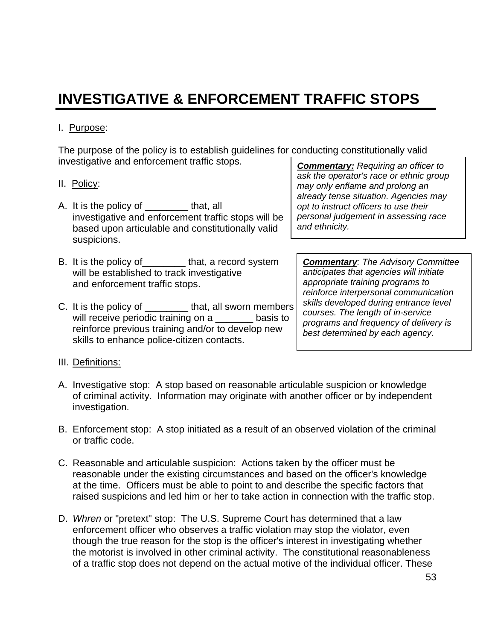## **INVESTIGATIVE & ENFORCEMENT TRAFFIC STOPS**

### I. Purpose:

The purpose of the policy is to establish guidelines for conducting constitutionally valid investigative and enforcement traffic stops.

- II. Policy:
- A. It is the policy of that, all investigative and enforcement traffic stops will be based upon articulable and constitutionally valid suspicions.
- B. It is the policy of that, a record system will be established to track investigative and enforcement traffic stops.
- C. It is the policy of \_\_\_\_\_\_\_\_ that, all sworn members will receive periodic training on a basis to reinforce previous training and/or to develop new skills to enhance police-citizen contacts.

*Commentary: Requiring an officer to ask the operator's race or ethnic group may only enflame and prolong an already tense situation. Agencies may opt to instruct officers to use their personal judgement in assessing race and ethnicity.* 

*Commentary: The Advisory Committee anticipates that agencies will initiate appropriate training programs to reinforce interpersonal communication skills developed during entrance level courses. The length of in-service programs and frequency of delivery is best determined by each agency.*

- III. Definitions:
- A. Investigative stop: A stop based on reasonable articulable suspicion or knowledge of criminal activity. Information may originate with another officer or by independent investigation.
- B. Enforcement stop: A stop initiated as a result of an observed violation of the criminal or traffic code.
- C. Reasonable and articulable suspicion: Actions taken by the officer must be reasonable under the existing circumstances and based on the officer's knowledge at the time. Officers must be able to point to and describe the specific factors that raised suspicions and led him or her to take action in connection with the traffic stop.
- D. *Whren* or "pretext" stop: The U.S. Supreme Court has determined that a law enforcement officer who observes a traffic violation may stop the violator, even though the true reason for the stop is the officer's interest in investigating whether the motorist is involved in other criminal activity. The constitutional reasonableness of a traffic stop does not depend on the actual motive of the individual officer. These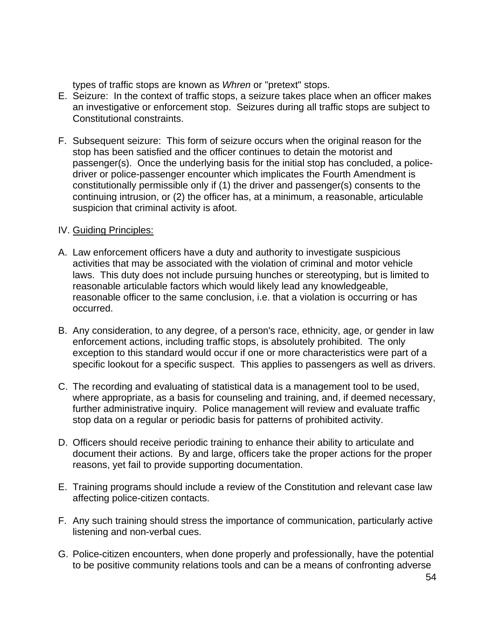types of traffic stops are known as *Whren* or "pretext" stops.

- E. Seizure: In the context of traffic stops, a seizure takes place when an officer makes an investigative or enforcement stop. Seizures during all traffic stops are subject to Constitutional constraints.
- F. Subsequent seizure: This form of seizure occurs when the original reason for the stop has been satisfied and the officer continues to detain the motorist and passenger(s). Once the underlying basis for the initial stop has concluded, a policedriver or police-passenger encounter which implicates the Fourth Amendment is constitutionally permissible only if (1) the driver and passenger(s) consents to the continuing intrusion, or (2) the officer has, at a minimum, a reasonable, articulable suspicion that criminal activity is afoot.

### IV. Guiding Principles:

- A. Law enforcement officers have a duty and authority to investigate suspicious activities that may be associated with the violation of criminal and motor vehicle laws. This duty does not include pursuing hunches or stereotyping, but is limited to reasonable articulable factors which would likely lead any knowledgeable, reasonable officer to the same conclusion, i.e. that a violation is occurring or has occurred.
- B. Any consideration, to any degree, of a person's race, ethnicity, age, or gender in law enforcement actions, including traffic stops, is absolutely prohibited. The only exception to this standard would occur if one or more characteristics were part of a specific lookout for a specific suspect. This applies to passengers as well as drivers.
- C. The recording and evaluating of statistical data is a management tool to be used, where appropriate, as a basis for counseling and training, and, if deemed necessary, further administrative inquiry. Police management will review and evaluate traffic stop data on a regular or periodic basis for patterns of prohibited activity.
- D. Officers should receive periodic training to enhance their ability to articulate and document their actions. By and large, officers take the proper actions for the proper reasons, yet fail to provide supporting documentation.
- E. Training programs should include a review of the Constitution and relevant case law affecting police-citizen contacts.
- F. Any such training should stress the importance of communication, particularly active listening and non-verbal cues.
- G. Police-citizen encounters, when done properly and professionally, have the potential to be positive community relations tools and can be a means of confronting adverse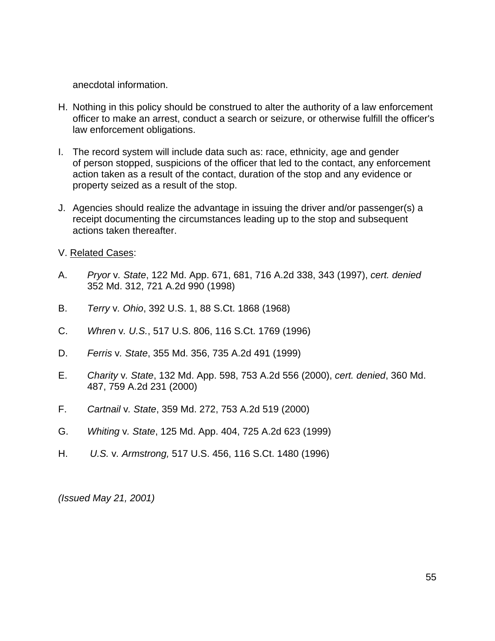anecdotal information.

- H. Nothing in this policy should be construed to alter the authority of a law enforcement officer to make an arrest, conduct a search or seizure, or otherwise fulfill the officer's law enforcement obligations.
- I. The record system will include data such as: race, ethnicity, age and gender of person stopped, suspicions of the officer that led to the contact, any enforcement action taken as a result of the contact, duration of the stop and any evidence or property seized as a result of the stop.
- J. Agencies should realize the advantage in issuing the driver and/or passenger(s) a receipt documenting the circumstances leading up to the stop and subsequent actions taken thereafter.
- V. Related Cases:
- A. *Pryor* v*. State*, 122 Md. App. 671, 681, 716 A.2d 338, 343 (1997), *cert. denied* 352 Md. 312, 721 A.2d 990 (1998)
- B. *Terry* v*. Ohio*, 392 U.S. 1, 88 S.Ct. 1868 (1968)
- C. *Whren* v*. U.S.*, 517 U.S. 806, 116 S.Ct. 1769 (1996)
- D. *Ferris* v*. State*, 355 Md. 356, 735 A.2d 491 (1999)
- E. *Charity* v*. State*, 132 Md. App. 598, 753 A.2d 556 (2000), *cert. denied*, 360 Md. 487, 759 A.2d 231 (2000)
- F. *Cartnail* v*. State*, 359 Md. 272, 753 A.2d 519 (2000)
- G. *Whiting* v*. State*, 125 Md. App. 404, 725 A.2d 623 (1999)
- H. *U.S.* v*. Armstrong,* 517 U.S. 456, 116 S.Ct. 1480 (1996)

*(Issued May 21, 2001)*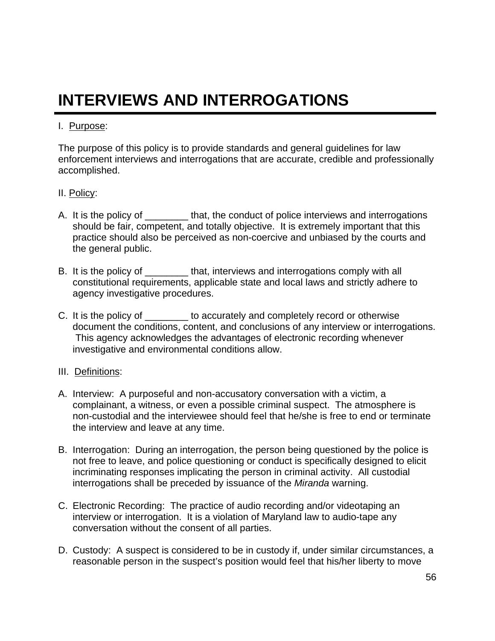## **INTERVIEWS AND INTERROGATIONS**

### I. Purpose:

The purpose of this policy is to provide standards and general guidelines for law enforcement interviews and interrogations that are accurate, credible and professionally accomplished.

### II. Policy:

- A. It is the policy of that, the conduct of police interviews and interrogations should be fair, competent, and totally objective. It is extremely important that this practice should also be perceived as non-coercive and unbiased by the courts and the general public.
- B. It is the policy of \_\_\_\_\_\_\_\_ that, interviews and interrogations comply with all constitutional requirements, applicable state and local laws and strictly adhere to agency investigative procedures.
- C. It is the policy of \_\_\_\_\_\_\_\_ to accurately and completely record or otherwise document the conditions, content, and conclusions of any interview or interrogations. This agency acknowledges the advantages of electronic recording whenever investigative and environmental conditions allow.

### III. Definitions:

- A. Interview: A purposeful and non-accusatory conversation with a victim, a complainant, a witness, or even a possible criminal suspect. The atmosphere is non-custodial and the interviewee should feel that he/she is free to end or terminate the interview and leave at any time.
- B. Interrogation: During an interrogation, the person being questioned by the police is not free to leave, and police questioning or conduct is specifically designed to elicit incriminating responses implicating the person in criminal activity. All custodial interrogations shall be preceded by issuance of the *Miranda* warning.
- C. Electronic Recording: The practice of audio recording and/or videotaping an interview or interrogation. It is a violation of Maryland law to audio-tape any conversation without the consent of all parties.
- D. Custody: A suspect is considered to be in custody if, under similar circumstances, a reasonable person in the suspect's position would feel that his/her liberty to move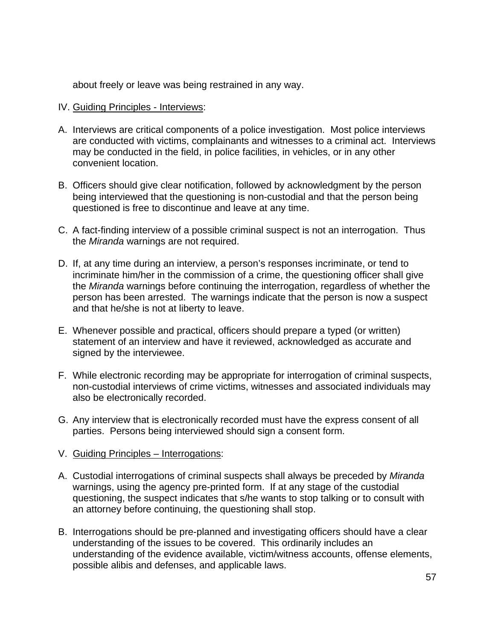about freely or leave was being restrained in any way.

### IV. Guiding Principles - Interviews:

- A. Interviews are critical components of a police investigation. Most police interviews are conducted with victims, complainants and witnesses to a criminal act. Interviews may be conducted in the field, in police facilities, in vehicles, or in any other convenient location.
- B. Officers should give clear notification, followed by acknowledgment by the person being interviewed that the questioning is non-custodial and that the person being questioned is free to discontinue and leave at any time.
- C. A fact-finding interview of a possible criminal suspect is not an interrogation. Thus the *Miranda* warnings are not required.
- D. If, at any time during an interview, a person's responses incriminate, or tend to incriminate him/her in the commission of a crime, the questioning officer shall give the *Miranda* warnings before continuing the interrogation, regardless of whether the person has been arrested. The warnings indicate that the person is now a suspect and that he/she is not at liberty to leave.
- E. Whenever possible and practical, officers should prepare a typed (or written) statement of an interview and have it reviewed, acknowledged as accurate and signed by the interviewee.
- F. While electronic recording may be appropriate for interrogation of criminal suspects, non-custodial interviews of crime victims, witnesses and associated individuals may also be electronically recorded.
- G. Any interview that is electronically recorded must have the express consent of all parties. Persons being interviewed should sign a consent form.
- V. Guiding Principles Interrogations:
- A. Custodial interrogations of criminal suspects shall always be preceded by *Miranda* warnings, using the agency pre-printed form. If at any stage of the custodial questioning, the suspect indicates that s/he wants to stop talking or to consult with an attorney before continuing, the questioning shall stop.
- B. Interrogations should be pre-planned and investigating officers should have a clear understanding of the issues to be covered. This ordinarily includes an understanding of the evidence available, victim/witness accounts, offense elements, possible alibis and defenses, and applicable laws.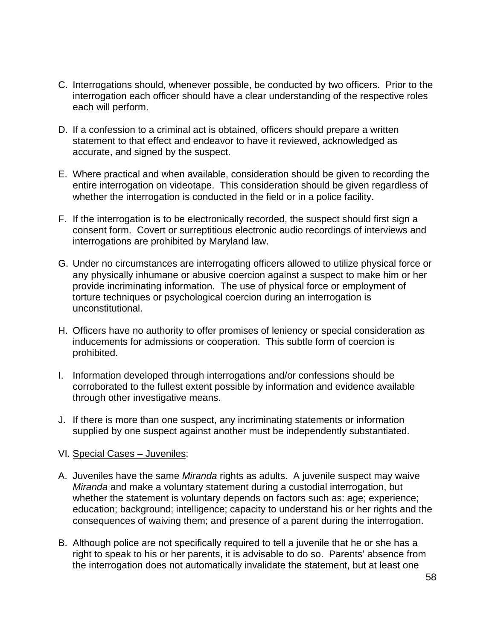- C. Interrogations should, whenever possible, be conducted by two officers. Prior to the interrogation each officer should have a clear understanding of the respective roles each will perform.
- D. If a confession to a criminal act is obtained, officers should prepare a written statement to that effect and endeavor to have it reviewed, acknowledged as accurate, and signed by the suspect.
- E. Where practical and when available, consideration should be given to recording the entire interrogation on videotape. This consideration should be given regardless of whether the interrogation is conducted in the field or in a police facility.
- F. If the interrogation is to be electronically recorded, the suspect should first sign a consent form. Covert or surreptitious electronic audio recordings of interviews and interrogations are prohibited by Maryland law.
- G. Under no circumstances are interrogating officers allowed to utilize physical force or any physically inhumane or abusive coercion against a suspect to make him or her provide incriminating information. The use of physical force or employment of torture techniques or psychological coercion during an interrogation is unconstitutional.
- H. Officers have no authority to offer promises of leniency or special consideration as inducements for admissions or cooperation. This subtle form of coercion is prohibited.
- I. Information developed through interrogations and/or confessions should be corroborated to the fullest extent possible by information and evidence available through other investigative means.
- J. If there is more than one suspect, any incriminating statements or information supplied by one suspect against another must be independently substantiated.

### VI. Special Cases – Juveniles:

- A. Juveniles have the same *Miranda* rights as adults. A juvenile suspect may waive *Miranda* and make a voluntary statement during a custodial interrogation, but whether the statement is voluntary depends on factors such as: age; experience; education; background; intelligence; capacity to understand his or her rights and the consequences of waiving them; and presence of a parent during the interrogation.
- B. Although police are not specifically required to tell a juvenile that he or she has a right to speak to his or her parents, it is advisable to do so. Parents' absence from the interrogation does not automatically invalidate the statement, but at least one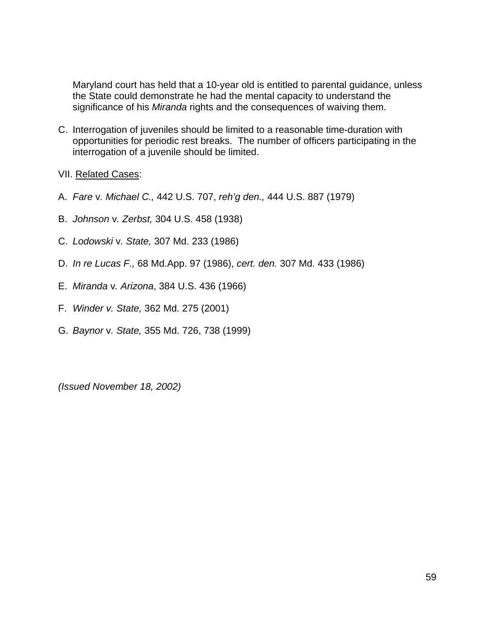Maryland court has held that a 10-year old is entitled to parental guidance, unless the State could demonstrate he had the mental capacity to understand the significance of his *Miranda* rights and the consequences of waiving them.

- C. Interrogation of juveniles should be limited to a reasonable time-duration with opportunities for periodic rest breaks. The number of officers participating in the interrogation of a juvenile should be limited.
- VII. Related Cases:
- A. *Fare* v*. Michael C.,* 442 U.S. 707, *reh'g den.,* 444 U.S. 887 (1979)
- B. *Johnson* v*. Zerbst,* 304 U.S. 458 (1938)
- C. *Lodowski* v*. State,* 307 Md. 233 (1986)
- D. *In re Lucas F.,* 68 Md.App. 97 (1986), *cert. den.* 307 Md. 433 (1986)
- E. *Miranda* v*. Arizona*, 384 U.S. 436 (1966)
- F. *Winder v. State,* 362 Md. 275 (2001)
- G. *Baynor* v*. State,* 355 Md. 726, 738 (1999)

*(Issued November 18, 2002)*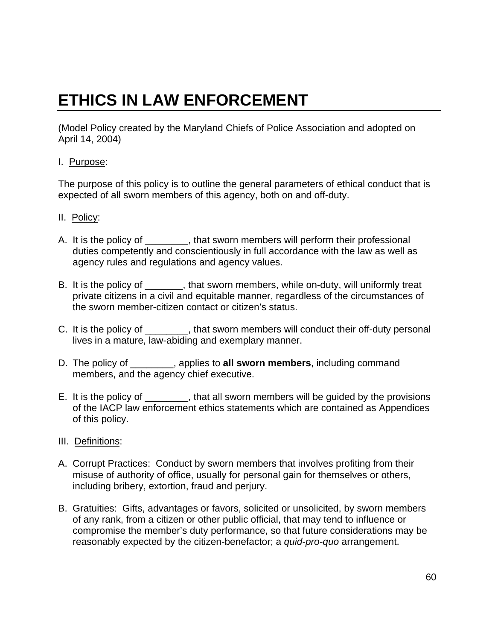## **ETHICS IN LAW ENFORCEMENT**

(Model Policy created by the Maryland Chiefs of Police Association and adopted on April 14, 2004)

I. Purpose:

The purpose of this policy is to outline the general parameters of ethical conduct that is expected of all sworn members of this agency, both on and off-duty.

- II. Policy:
- A. It is the policy of \_\_\_\_\_\_\_, that sworn members will perform their professional duties competently and conscientiously in full accordance with the law as well as agency rules and regulations and agency values.
- B. It is the policy of \_\_\_\_\_\_\_, that sworn members, while on-duty, will uniformly treat private citizens in a civil and equitable manner, regardless of the circumstances of the sworn member-citizen contact or citizen's status.
- C. It is the policy of \_\_\_\_\_\_\_, that sworn members will conduct their off-duty personal lives in a mature, law-abiding and exemplary manner.
- D. The policy of \_\_\_\_\_\_\_\_, applies to **all sworn members**, including command members, and the agency chief executive.
- E. It is the policy of \_\_\_\_\_\_\_, that all sworn members will be guided by the provisions of the IACP law enforcement ethics statements which are contained as Appendices of this policy.
- III. Definitions:
- A. Corrupt Practices: Conduct by sworn members that involves profiting from their misuse of authority of office, usually for personal gain for themselves or others, including bribery, extortion, fraud and perjury.
- B. Gratuities: Gifts, advantages or favors, solicited or unsolicited, by sworn members of any rank, from a citizen or other public official, that may tend to influence or compromise the member's duty performance, so that future considerations may be reasonably expected by the citizen-benefactor; a *quid-pro-quo* arrangement.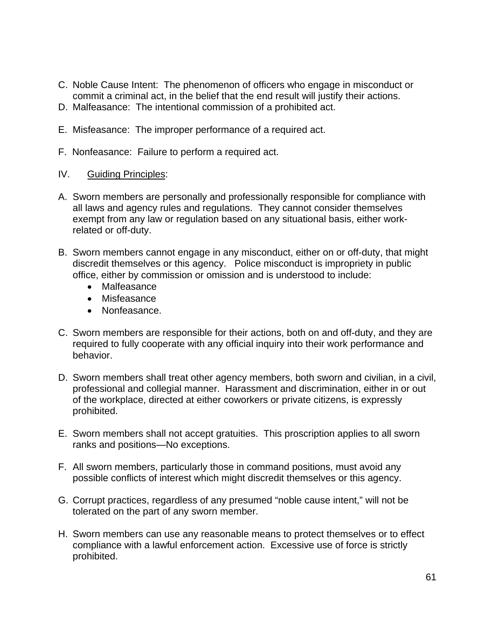- C. Noble Cause Intent: The phenomenon of officers who engage in misconduct or commit a criminal act, in the belief that the end result will justify their actions.
- D. Malfeasance: The intentional commission of a prohibited act.
- E. Misfeasance: The improper performance of a required act.
- F. Nonfeasance: Failure to perform a required act.
- IV. Guiding Principles:
- A. Sworn members are personally and professionally responsible for compliance with all laws and agency rules and regulations. They cannot consider themselves exempt from any law or regulation based on any situational basis, either workrelated or off-duty.
- B. Sworn members cannot engage in any misconduct, either on or off-duty, that might discredit themselves or this agency. Police misconduct is impropriety in public office, either by commission or omission and is understood to include:
	- Malfeasance
	- Misfeasance
	- Nonfeasance.
- C. Sworn members are responsible for their actions, both on and off-duty, and they are required to fully cooperate with any official inquiry into their work performance and behavior.
- D. Sworn members shall treat other agency members, both sworn and civilian, in a civil, professional and collegial manner. Harassment and discrimination, either in or out of the workplace, directed at either coworkers or private citizens, is expressly prohibited.
- E. Sworn members shall not accept gratuities. This proscription applies to all sworn ranks and positions—No exceptions.
- F. All sworn members, particularly those in command positions, must avoid any possible conflicts of interest which might discredit themselves or this agency.
- G. Corrupt practices, regardless of any presumed "noble cause intent," will not be tolerated on the part of any sworn member.
- H. Sworn members can use any reasonable means to protect themselves or to effect compliance with a lawful enforcement action. Excessive use of force is strictly prohibited.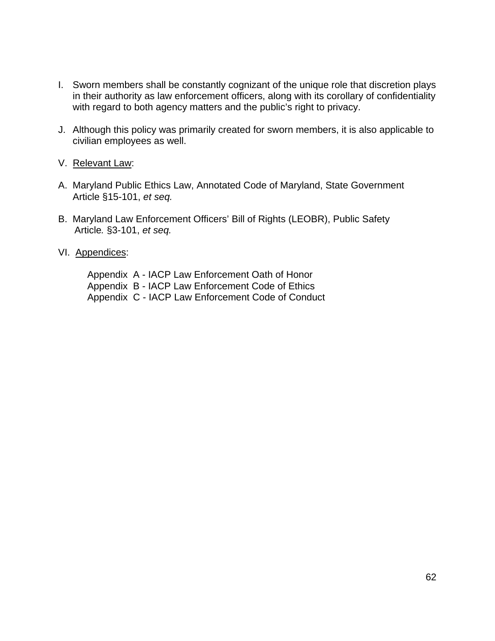- I. Sworn members shall be constantly cognizant of the unique role that discretion plays in their authority as law enforcement officers, along with its corollary of confidentiality with regard to both agency matters and the public's right to privacy.
- J. Although this policy was primarily created for sworn members, it is also applicable to civilian employees as well.
- V. Relevant Law:
- A. Maryland Public Ethics Law, Annotated Code of Maryland, State Government Article §15-101, *et seq.*
- B. Maryland Law Enforcement Officers' Bill of Rights (LEOBR), Public Safety Article*.* §3-101, *et seq.*
- VI. Appendices:

Appendix A - IACP Law Enforcement Oath of Honor Appendix B - IACP Law Enforcement Code of Ethics Appendix C - IACP Law Enforcement Code of Conduct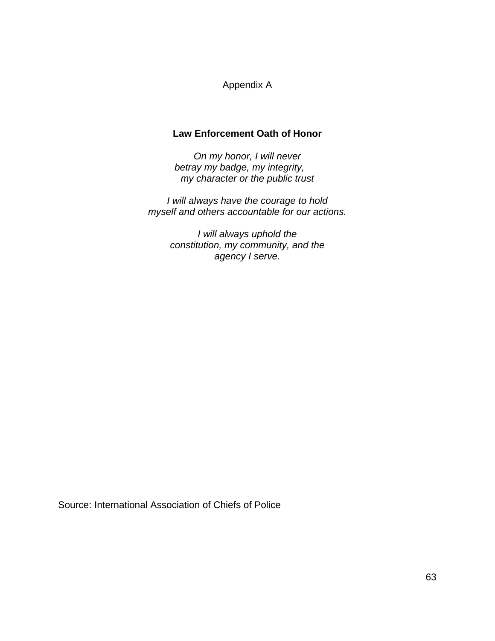### Appendix A

### **Law Enforcement Oath of Honor**

*On my honor, I will never betray my badge, my integrity, my character or the public trust* 

*I will always have the courage to hold myself and others accountable for our actions.* 

> *I will always uphold the constitution, my community, and the agency I serve.*

Source: International Association of Chiefs of Police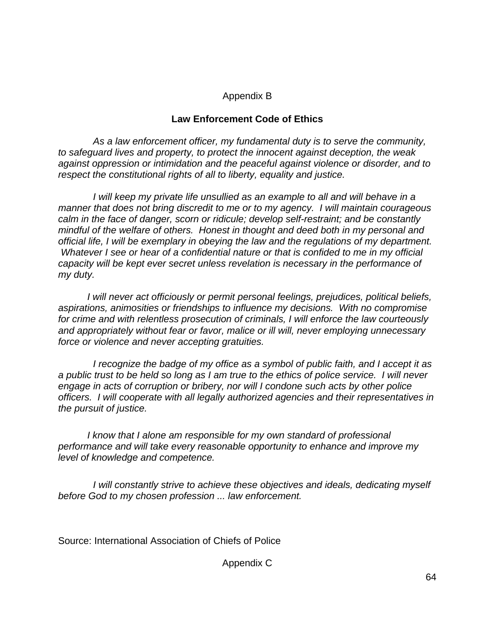### Appendix B

### **Law Enforcement Code of Ethics**

 *As a law enforcement officer, my fundamental duty is to serve the community, to safeguard lives and property, to protect the innocent against deception, the weak against oppression or intimidation and the peaceful against violence or disorder, and to respect the constitutional rights of all to liberty, equality and justice.* 

*I* will keep my private life unsullied as an example to all and will behave in a *manner that does not bring discredit to me or to my agency. I will maintain courageous calm in the face of danger, scorn or ridicule; develop self-restraint; and be constantly mindful of the welfare of others. Honest in thought and deed both in my personal and official life, I will be exemplary in obeying the law and the regulations of my department. Whatever I see or hear of a confidential nature or that is confided to me in my official capacity will be kept ever secret unless revelation is necessary in the performance of my duty.* 

*I will never act officiously or permit personal feelings, prejudices, political beliefs, aspirations, animosities or friendships to influence my decisions. With no compromise for crime and with relentless prosecution of criminals, I will enforce the law courteously and appropriately without fear or favor, malice or ill will, never employing unnecessary force or violence and never accepting gratuities.* 

 *I recognize the badge of my office as a symbol of public faith, and I accept it as a public trust to be held so long as I am true to the ethics of police service. I will never engage in acts of corruption or bribery, nor will I condone such acts by other police officers. I will cooperate with all legally authorized agencies and their representatives in the pursuit of justice.* 

 *I know that I alone am responsible for my own standard of professional performance and will take every reasonable opportunity to enhance and improve my level of knowledge and competence.* 

 *I will constantly strive to achieve these objectives and ideals, dedicating myself before God to my chosen profession ... law enforcement.* 

Source: International Association of Chiefs of Police

Appendix C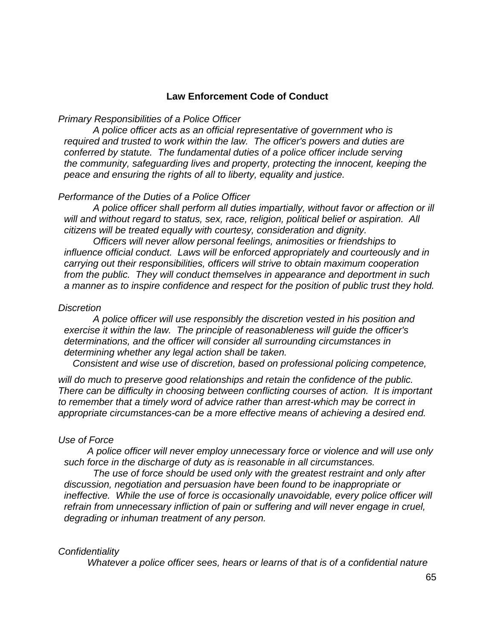#### **Law Enforcement Code of Conduct**

#### *Primary Responsibilities of a Police Officer*

 *A police officer acts as an official representative of government who is required and trusted to work within the law. The officer's powers and duties are conferred by statute. The fundamental duties of a police officer include serving the community, safeguarding lives and property, protecting the innocent, keeping the peace and ensuring the rights of all to liberty, equality and justice.* 

#### *Performance of the Duties of a Police Officer*

*A police officer shall perform all duties impartially, without favor or affection or ill will and without regard to status, sex, race, religion, political belief or aspiration. All citizens will be treated equally with courtesy, consideration and dignity.* 

*Officers will never allow personal feelings, animosities or friendships to influence official conduct. Laws will be enforced appropriately and courteously and in carrying out their responsibilities, officers will strive to obtain maximum cooperation from the public. They will conduct themselves in appearance and deportment in such a manner as to inspire confidence and respect for the position of public trust they hold.* 

#### *Discretion*

*A police officer will use responsibly the discretion vested in his position and exercise it within the law. The principle of reasonableness will guide the officer's determinations, and the officer will consider all surrounding circumstances in determining whether any legal action shall be taken.* 

*Consistent and wise use of discretion, based on professional policing competence,* 

*will do much to preserve good relationships and retain the confidence of the public. There can be difficulty in choosing between conflicting courses of action. It is important to remember that a timely word of advice rather than arrest-which may be correct in appropriate circumstances-can be a more effective means of achieving a desired end.* 

#### *Use of Force*

*A police officer will never employ unnecessary force or violence and will use only such force in the discharge of duty as is reasonable in all circumstances.* 

 *The use of force should be used only with the greatest restraint and only after discussion, negotiation and persuasion have been found to be inappropriate or*  ineffective. While the use of force is occasionally unavoidable, every police officer will *refrain from unnecessary infliction of pain or suffering and will never engage in cruel, degrading or inhuman treatment of any person.* 

#### *Confidentiality*

*Whatever a police officer sees, hears or learns of that is of a confidential nature*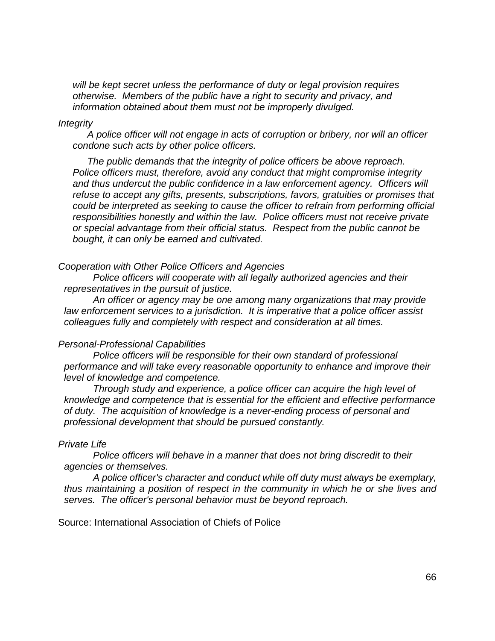*will be kept secret unless the performance of duty or legal provision requires otherwise. Members of the public have a right to security and privacy, and information obtained about them must not be improperly divulged.* 

#### *Integrity*

 *A police officer will not engage in acts of corruption or bribery, nor will an officer condone such acts by other police officers.* 

*The public demands that the integrity of police officers be above reproach. Police officers must, therefore, avoid any conduct that might compromise integrity*  and thus undercut the public confidence in a law enforcement agency. Officers will *refuse to accept any gifts, presents, subscriptions, favors, gratuities or promises that could be interpreted as seeking to cause the officer to refrain from performing official responsibilities honestly and within the law. Police officers must not receive private or special advantage from their official status. Respect from the public cannot be bought, it can only be earned and cultivated.* 

#### *Cooperation with Other Police Officers and Agencies*

*Police officers will cooperate with all legally authorized agencies and their representatives in the pursuit of justice.* 

*An officer or agency may be one among many organizations that may provide law enforcement services to a jurisdiction. It is imperative that a police officer assist colleagues fully and completely with respect and consideration at all times.* 

#### *Personal-Professional Capabilities*

*Police officers will be responsible for their own standard of professional performance and will take every reasonable opportunity to enhance and improve their level of knowledge and competence.* 

*Through study and experience, a police officer can acquire the high level of knowledge and competence that is essential for the efficient and effective performance of duty. The acquisition of knowledge is a never-ending process of personal and professional development that should be pursued constantly.* 

#### *Private Life*

*Police officers will behave in a manner that does not bring discredit to their agencies or themselves.* 

*A police officer's character and conduct while off duty must always be exemplary, thus maintaining a position of respect in the community in which he or she lives and serves. The officer's personal behavior must be beyond reproach.* 

Source: International Association of Chiefs of Police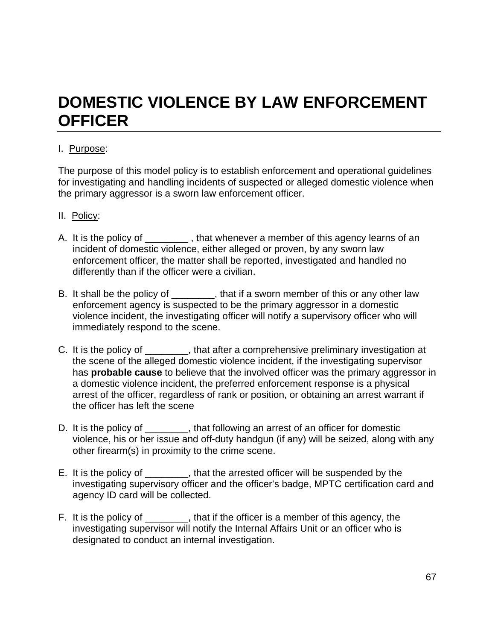## **DOMESTIC VIOLENCE BY LAW ENFORCEMENT OFFICER**

### I. Purpose:

The purpose of this model policy is to establish enforcement and operational guidelines for investigating and handling incidents of suspected or alleged domestic violence when the primary aggressor is a sworn law enforcement officer.

- II. Policy:
- A. It is the policy of \_\_\_\_\_\_\_, that whenever a member of this agency learns of an incident of domestic violence, either alleged or proven, by any sworn law enforcement officer, the matter shall be reported, investigated and handled no differently than if the officer were a civilian.
- B. It shall be the policy of \_\_\_\_\_\_\_, that if a sworn member of this or any other law enforcement agency is suspected to be the primary aggressor in a domestic violence incident, the investigating officer will notify a supervisory officer who will immediately respond to the scene.
- C. It is the policy of \_\_\_\_\_\_\_, that after a comprehensive preliminary investigation at the scene of the alleged domestic violence incident, if the investigating supervisor has **probable cause** to believe that the involved officer was the primary aggressor in a domestic violence incident, the preferred enforcement response is a physical arrest of the officer, regardless of rank or position, or obtaining an arrest warrant if the officer has left the scene
- D. It is the policy of that following an arrest of an officer for domestic violence, his or her issue and off-duty handgun (if any) will be seized, along with any other firearm(s) in proximity to the crime scene.
- E. It is the policy of that the arrested officer will be suspended by the investigating supervisory officer and the officer's badge, MPTC certification card and agency ID card will be collected.
- F. It is the policy of \_\_\_\_\_\_\_\_, that if the officer is a member of this agency, the investigating supervisor will notify the Internal Affairs Unit or an officer who is designated to conduct an internal investigation.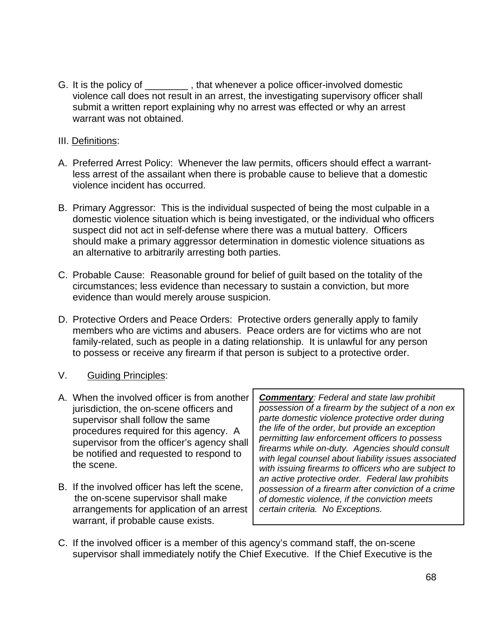- G. It is the policy of \_\_\_\_\_\_\_\_, that whenever a police officer-involved domestic violence call does not result in an arrest, the investigating supervisory officer shall submit a written report explaining why no arrest was effected or why an arrest warrant was not obtained.
- III. Definitions:
- A. Preferred Arrest Policy: Whenever the law permits, officers should effect a warrantless arrest of the assailant when there is probable cause to believe that a domestic violence incident has occurred.
- B. Primary Aggressor: This is the individual suspected of being the most culpable in a domestic violence situation which is being investigated, or the individual who officers suspect did not act in self-defense where there was a mutual battery. Officers should make a primary aggressor determination in domestic violence situations as an alternative to arbitrarily arresting both parties.
- C. Probable Cause: Reasonable ground for belief of guilt based on the totality of the circumstances; less evidence than necessary to sustain a conviction, but more evidence than would merely arouse suspicion.
- D. Protective Orders and Peace Orders: Protective orders generally apply to family members who are victims and abusers. Peace orders are for victims who are not family-related, such as people in a dating relationship. It is unlawful for any person to possess or receive any firearm if that person is subject to a protective order.
- V. Guiding Principles:
- A. When the involved officer is from another jurisdiction, the on-scene officers and supervisor shall follow the same procedures required for this agency. A supervisor from the officer's agency shall be notified and requested to respond to the scene.
- B. If the involved officer has left the scene, the on-scene supervisor shall make arrangements for application of an arrest warrant, if probable cause exists.

*Commentary: Federal and state law prohibit possession of a firearm by the subject of a non ex parte domestic violence protective order during the life of the order, but provide an exception permitting law enforcement officers to possess firearms while on-duty. Agencies should consult with legal counsel about liability issues associated with issuing firearms to officers who are subject to an active protective order. Federal law prohibits possession of a firearm after conviction of a crime of domestic violence, if the conviction meets certain criteria. No Exceptions.* 

C. If the involved officer is a member of this agency's command staff, the on-scene supervisor shall immediately notify the Chief Executive. If the Chief Executive is the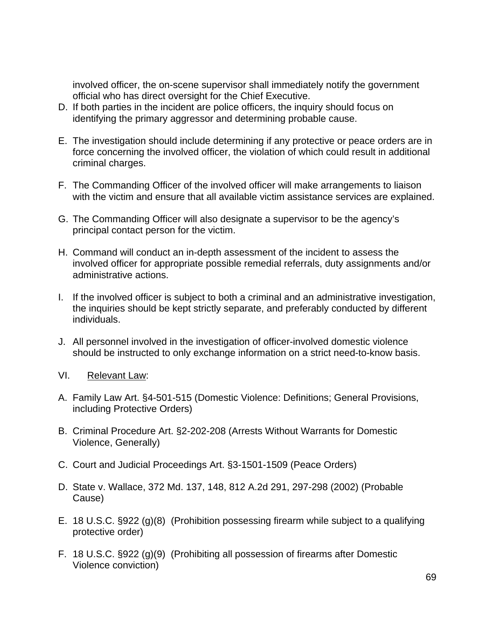involved officer, the on-scene supervisor shall immediately notify the government official who has direct oversight for the Chief Executive.

- D. If both parties in the incident are police officers, the inquiry should focus on identifying the primary aggressor and determining probable cause.
- E. The investigation should include determining if any protective or peace orders are in force concerning the involved officer, the violation of which could result in additional criminal charges.
- F. The Commanding Officer of the involved officer will make arrangements to liaison with the victim and ensure that all available victim assistance services are explained.
- G. The Commanding Officer will also designate a supervisor to be the agency's principal contact person for the victim.
- H. Command will conduct an in-depth assessment of the incident to assess the involved officer for appropriate possible remedial referrals, duty assignments and/or administrative actions.
- I. If the involved officer is subject to both a criminal and an administrative investigation, the inquiries should be kept strictly separate, and preferably conducted by different individuals.
- J. All personnel involved in the investigation of officer-involved domestic violence should be instructed to only exchange information on a strict need-to-know basis.
- VI. Relevant Law:
- A. Family Law Art. §4-501-515 (Domestic Violence: Definitions; General Provisions, including Protective Orders)
- B. Criminal Procedure Art. §2-202-208 (Arrests Without Warrants for Domestic Violence, Generally)
- C. Court and Judicial Proceedings Art. §3-1501-1509 (Peace Orders)
- D. State v. Wallace, 372 Md. 137, 148, 812 A.2d 291, 297-298 (2002) (Probable Cause)
- E. 18 U.S.C. §922 (g)(8) (Prohibition possessing firearm while subject to a qualifying protective order)
- F. 18 U.S.C. §922 (g)(9) (Prohibiting all possession of firearms after Domestic Violence conviction)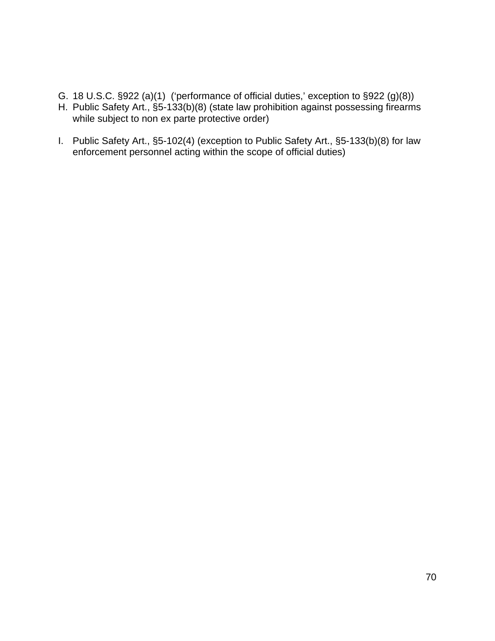- G. 18 U.S.C. §922 (a)(1) ('performance of official duties,' exception to §922 (g)(8))
- H. Public Safety Art., §5-133(b)(8) (state law prohibition against possessing firearms while subject to non ex parte protective order)
- I. Public Safety Art., §5-102(4) (exception to Public Safety Art., §5-133(b)(8) for law enforcement personnel acting within the scope of official duties)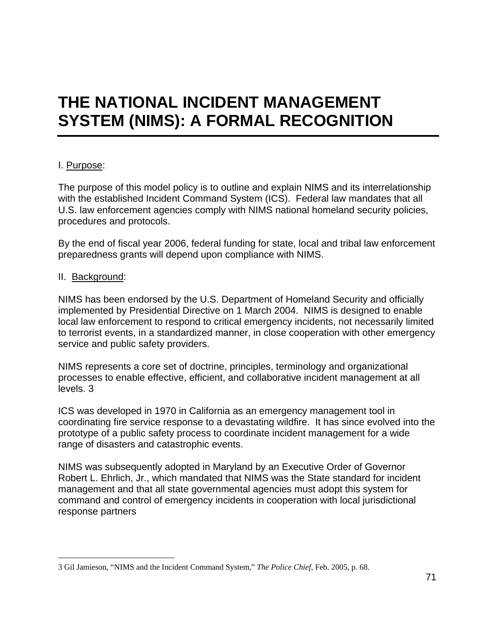## **THE NATIONAL INCIDENT MANAGEMENT SYSTEM (NIMS): A FORMAL RECOGNITION**

### I. Purpose:

The purpose of this model policy is to outline and explain NIMS and its interrelationship with the established Incident Command System (ICS). Federal law mandates that all U.S. law enforcement agencies comply with NIMS national homeland security policies, procedures and protocols.

By the end of fiscal year 2006, federal funding for state, local and tribal law enforcement preparedness grants will depend upon compliance with NIMS.

### II. Background:

 $\overline{a}$ 

NIMS has been endorsed by the U.S. Department of Homeland Security and officially implemented by Presidential Directive on 1 March 2004. NIMS is designed to enable local law enforcement to respond to critical emergency incidents, not necessarily limited to terrorist events, in a standardized manner, in close cooperation with other emergency service and public safety providers.

NIMS represents a core set of doctrine, principles, terminology and organizational processes to enable effective, efficient, and collaborative incident management at all levels. 3

ICS was developed in 1970 in California as an emergency management tool in coordinating fire service response to a devastating wildfire. It has since evolved into the prototype of a public safety process to coordinate incident management for a wide range of disasters and catastrophic events.

NIMS was subsequently adopted in Maryland by an Executive Order of Governor Robert L. Ehrlich, Jr., which mandated that NIMS was the State standard for incident management and that all state governmental agencies must adopt this system for command and control of emergency incidents in cooperation with local jurisdictional response partners

<sup>3</sup> Gil Jamieson, "NIMS and the Incident Command System," *The Police Chief,* Feb. 2005, p. 68.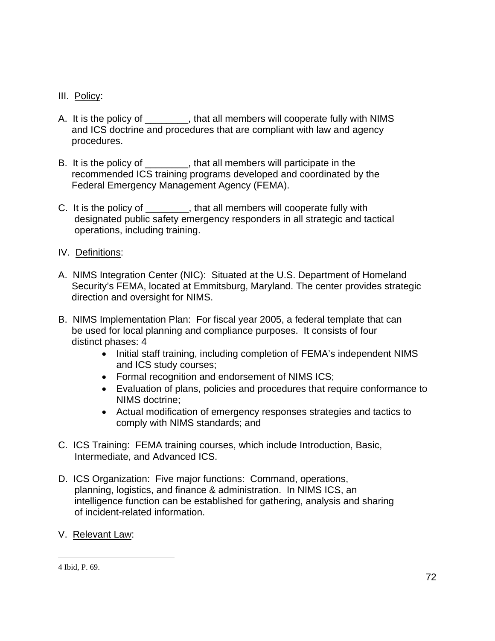### III. Policy:

- A. It is the policy of \_\_\_\_\_\_\_, that all members will cooperate fully with NIMS and ICS doctrine and procedures that are compliant with law and agency procedures.
- B. It is the policy of \_\_\_\_\_\_\_, that all members will participate in the recommended ICS training programs developed and coordinated by the Federal Emergency Management Agency (FEMA).
- C. It is the policy of \_\_\_\_\_\_\_\_, that all members will cooperate fully with designated public safety emergency responders in all strategic and tactical operations, including training.
- IV. Definitions:
- A. NIMS Integration Center (NIC): Situated at the U.S. Department of Homeland Security's FEMA, located at Emmitsburg, Maryland. The center provides strategic direction and oversight for NIMS.
- B. NIMS Implementation Plan: For fiscal year 2005, a federal template that can be used for local planning and compliance purposes. It consists of four distinct phases: 4
	- Initial staff training, including completion of FEMA's independent NIMS and ICS study courses;
	- Formal recognition and endorsement of NIMS ICS;
	- Evaluation of plans, policies and procedures that require conformance to NIMS doctrine;
	- Actual modification of emergency responses strategies and tactics to comply with NIMS standards; and
- C. ICS Training: FEMA training courses, which include Introduction, Basic, Intermediate, and Advanced ICS.
- D. ICS Organization: Five major functions: Command, operations, planning, logistics, and finance & administration. In NIMS ICS, an intelligence function can be established for gathering, analysis and sharing of incident-related information.
- V. Relevant Law:

 $\overline{a}$ 

<sup>4</sup> Ibid, P. 69.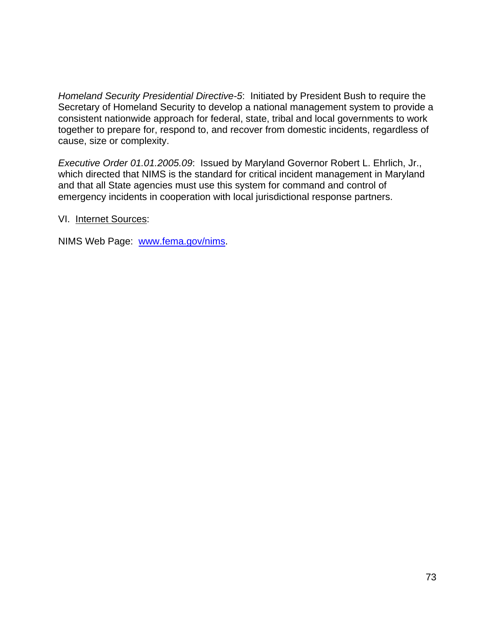*Homeland Security Presidential Directive-5*: Initiated by President Bush to require the Secretary of Homeland Security to develop a national management system to provide a consistent nationwide approach for federal, state, tribal and local governments to work together to prepare for, respond to, and recover from domestic incidents, regardless of cause, size or complexity.

*Executive Order 01.01.2005.09*: Issued by Maryland Governor Robert L. Ehrlich, Jr., which directed that NIMS is the standard for critical incident management in Maryland and that all State agencies must use this system for command and control of emergency incidents in cooperation with local jurisdictional response partners.

VI. Internet Sources:

NIMS Web Page: www.fema.gov/nims.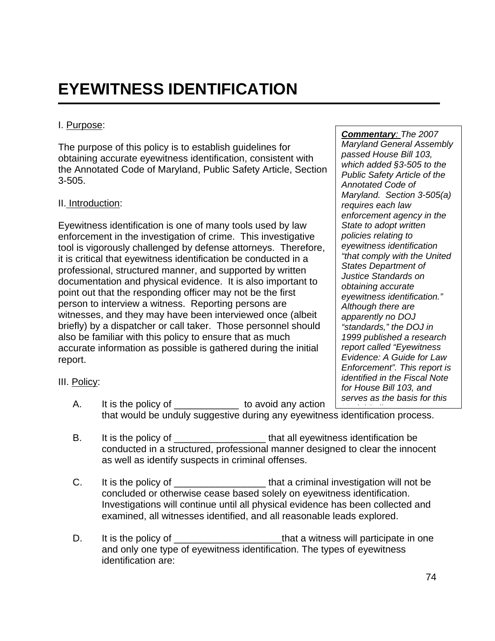## **EYEWITNESS IDENTIFICATION**

## I. Purpose:

The purpose of this policy is to establish guidelines for obtaining accurate eyewitness identification, consistent with the Annotated Code of Maryland, Public Safety Article, Section 3-505.

## II. Introduction:

Eyewitness identification is one of many tools used by law enforcement in the investigation of crime. This investigative tool is vigorously challenged by defense attorneys. Therefore, it is critical that eyewitness identification be conducted in a professional, structured manner, and supported by written documentation and physical evidence. It is also important to point out that the responding officer may not be the first person to interview a witness. Reporting persons are witnesses, and they may have been interviewed once (albeit briefly) by a dispatcher or call taker. Those personnel should also be familiar with this policy to ensure that as much accurate information as possible is gathered during the initial report.

*Commentary: The 2007 Maryland General Assembly passed House Bill 103, which added §3-505 to the Public Safety Article of the Annotated Code of Maryland. Section 3-505(a) requires each law enforcement agency in the State to adopt written policies relating to eyewitness identification "that comply with the United States Department of Justice Standards on obtaining accurate eyewitness identification." Although there are apparently no DOJ "standards," the DOJ in 1999 published a research report called "Eyewitness Evidence: A Guide for Law Enforcement". This report is identified in the Fiscal Note for House Bill 103, and serves as the basis for this* 

## III. Policy:

- *M d l P li* A. It is the policy of \_\_\_\_\_\_\_\_\_\_\_\_\_ to avoid any action that would be unduly suggestive during any eyewitness identification process.
- B. It is the policy of the same of that all eyewitness identification be conducted in a structured, professional manner designed to clear the innocent as well as identify suspects in criminal offenses.
- C. It is the policy of \_\_\_\_\_\_\_\_\_\_\_\_\_\_\_\_\_\_\_\_\_\_that a criminal investigation will not be concluded or otherwise cease based solely on eyewitness identification. Investigations will continue until all physical evidence has been collected and examined, all witnesses identified, and all reasonable leads explored.
- D. It is the policy of \_\_\_\_\_\_\_\_\_\_\_\_\_\_\_\_\_\_\_\_\_\_\_\_\_\_\_\_\_\_that a witness will participate in one and only one type of eyewitness identification. The types of eyewitness identification are: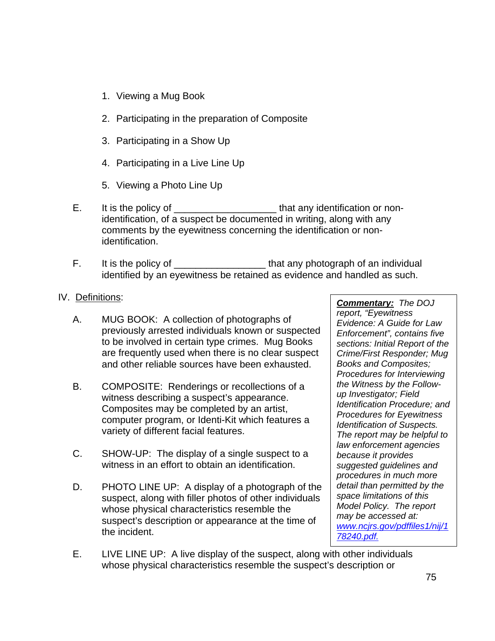- 1. Viewing a Mug Book
- 2. Participating in the preparation of Composite
- 3. Participating in a Show Up
- 4. Participating in a Live Line Up
- 5. Viewing a Photo Line Up
- E. It is the policy of the state of that any identification or nonidentification, of a suspect be documented in writing, along with any comments by the eyewitness concerning the identification or nonidentification.
- F. It is the policy of **F.** That any photograph of an individual identified by an eyewitness be retained as evidence and handled as such.
- IV. Definitions:
	- A. MUG BOOK: A collection of photographs of previously arrested individuals known or suspected to be involved in certain type crimes. Mug Books are frequently used when there is no clear suspect and other reliable sources have been exhausted.
	- B. COMPOSITE: Renderings or recollections of a witness describing a suspect's appearance. Composites may be completed by an artist, computer program, or Identi-Kit which features a variety of different facial features.
	- C. SHOW-UP: The display of a single suspect to a witness in an effort to obtain an identification.
	- D. PHOTO LINE UP: A display of a photograph of the suspect, along with filler photos of other individuals whose physical characteristics resemble the suspect's description or appearance at the time of the incident.

*Commentary: The DOJ report, "Eyewitness Evidence: A Guide for Law Enforcement", contains five sections: Initial Report of the Crime/First Responder; Mug Books and Composites; Procedures for Interviewing the Witness by the Followup Investigator; Field Identification Procedure; and Procedures for Eyewitness Identification of Suspects. The report may be helpful to law enforcement agencies because it provides suggested guidelines and procedures in much more detail than permitted by the space limitations of this Model Policy. The report may be accessed at: www.ncjrs.gov/pdffiles1/nij/1 78240.pdf.* 

E. LIVE LINE UP: A live display of the suspect, along with other individuals whose physical characteristics resemble the suspect's description or